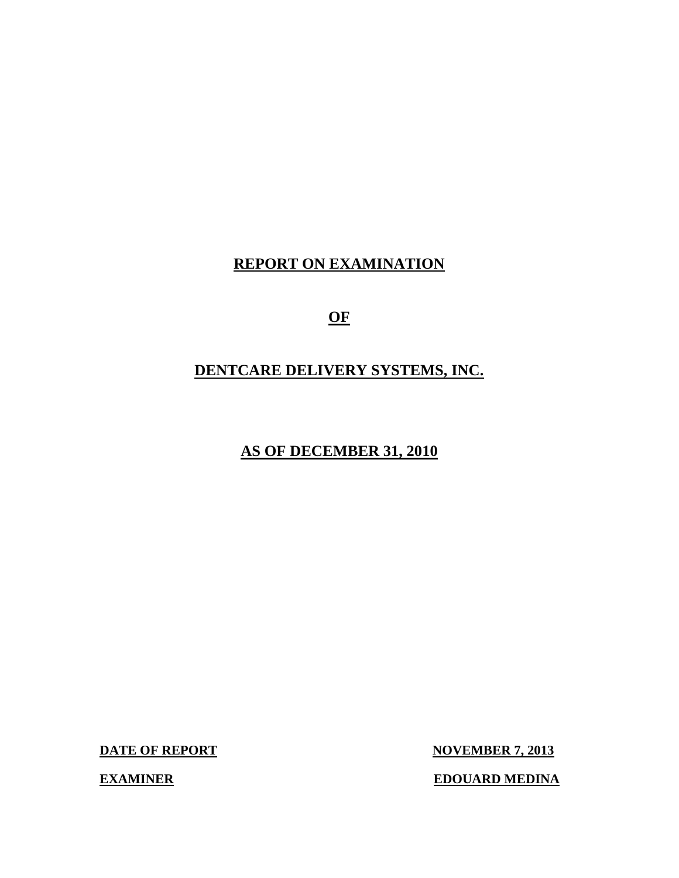## **REPORT ON EXAMINATION**

**OF** 

## **DENTCARE DELIVERY SYSTEMS, INC.**

**AS OF DECEMBER 31, 2010** 

**DATE OF REPORT NOVEMBER 7, 2013** 

**EXAMINER EDOUARD MEDINA**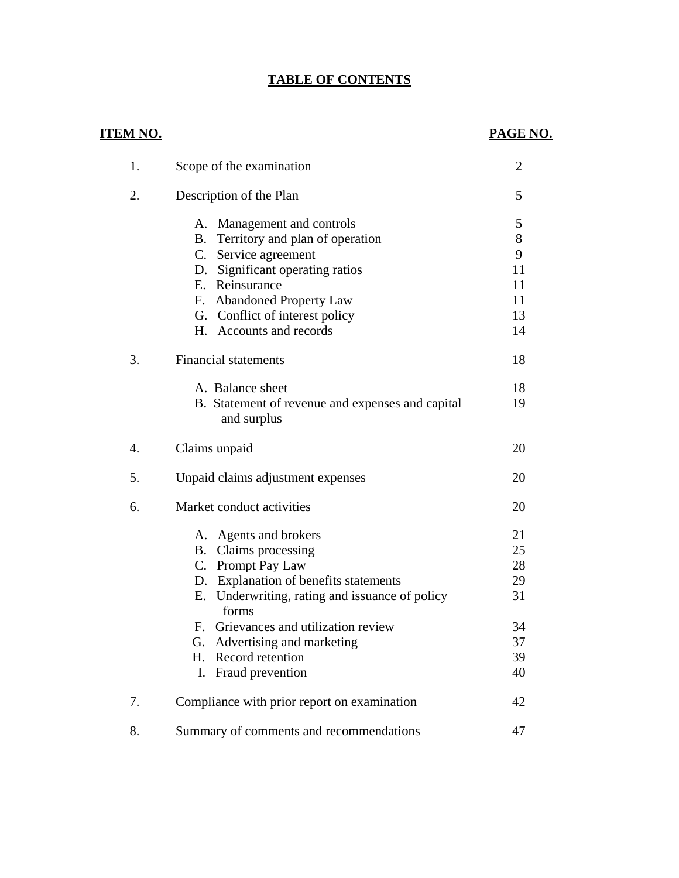### **TABLE OF CONTENTS**

### **ITEM NO. PAGE NO.**

| 1. | Scope of the examination                                        | 2  |
|----|-----------------------------------------------------------------|----|
| 2. | Description of the Plan                                         | 5  |
|    | A. Management and controls                                      | 5  |
|    | B. Territory and plan of operation                              | 8  |
|    | C. Service agreement                                            | 9  |
|    | D. Significant operating ratios                                 | 11 |
|    | E. Reinsurance                                                  | 11 |
|    | F. Abandoned Property Law                                       | 11 |
|    | G. Conflict of interest policy                                  | 13 |
|    | H. Accounts and records                                         | 14 |
| 3. | <b>Financial statements</b>                                     | 18 |
|    | A. Balance sheet                                                | 18 |
|    | B. Statement of revenue and expenses and capital<br>and surplus | 19 |
| 4. | Claims unpaid                                                   | 20 |
| 5. | Unpaid claims adjustment expenses                               | 20 |
| 6. | Market conduct activities                                       | 20 |
|    | A. Agents and brokers                                           | 21 |
|    | Claims processing<br>B.                                         | 25 |
|    | C. Prompt Pay Law                                               | 28 |
|    | D. Explanation of benefits statements                           | 29 |
|    | Underwriting, rating and issuance of policy<br>Е.<br>forms      | 31 |
|    | F. Grievances and utilization review                            | 34 |
|    | G. Advertising and marketing                                    | 37 |
|    | Н.<br>Record retention                                          | 39 |
|    | Fraud prevention<br>I.                                          | 40 |
| 7. | Compliance with prior report on examination                     | 42 |
| 8. | Summary of comments and recommendations                         | 47 |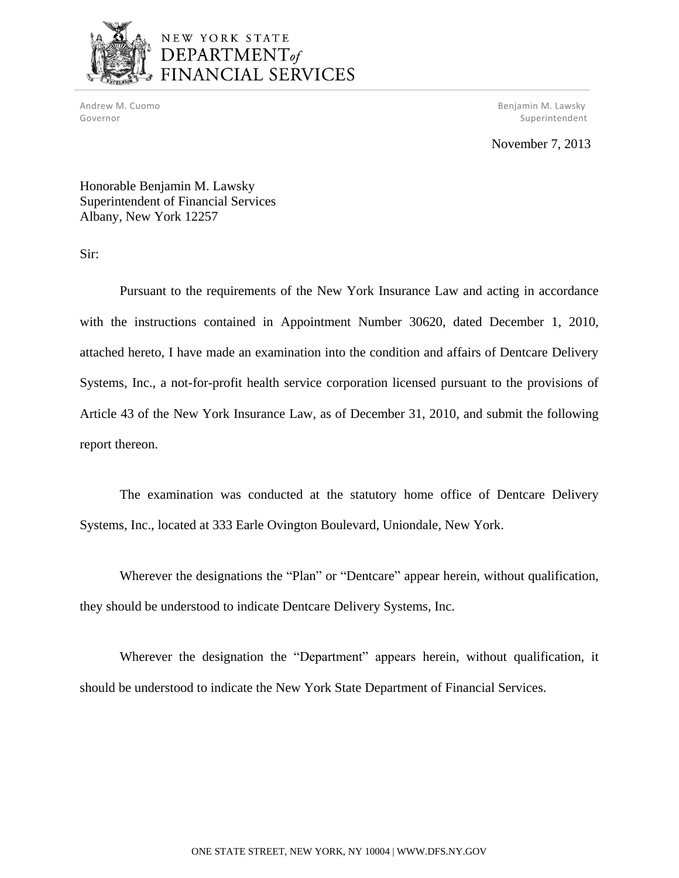

# NEW YORK STATE DEPARTMENT<sub>of</sub><br>FINANCIAL SERVICES

Andrew M. Cuomo Governor

Benjamin M. Lawsky Superintendent

### November 7, 2013

Honorable Benjamin M. Lawsky Honorable Benjamin M. Lawsky Superintendent of Financial Services Albany, New York 12257

Sir:

 Pursuant to the requirements of the New York Insurance Law and acting in accordance with the instructions contained in Appointment Number 30620, dated December 1, 2010, attached hereto, I have made an examination into the condition and affairs of Dentcare Delivery Systems, Inc., a not-for-profit health service corporation licensed pursuant to the provisions of Article 43 of the New York Insurance Law, as of December 31, 2010, and submit the following report thereon.

 The examination was conducted at the statutory home office of Dentcare Delivery Systems, Inc., located at 333 Earle Ovington Boulevard, Uniondale, New York.

 Wherever the designations the "Plan" or "Dentcare" appear herein, without qualification, they should be understood to indicate Dentcare Delivery Systems, Inc.

 should be understood to indicate the New York State Department of Financial Services. Wherever the designation the "Department" appears herein, without qualification, it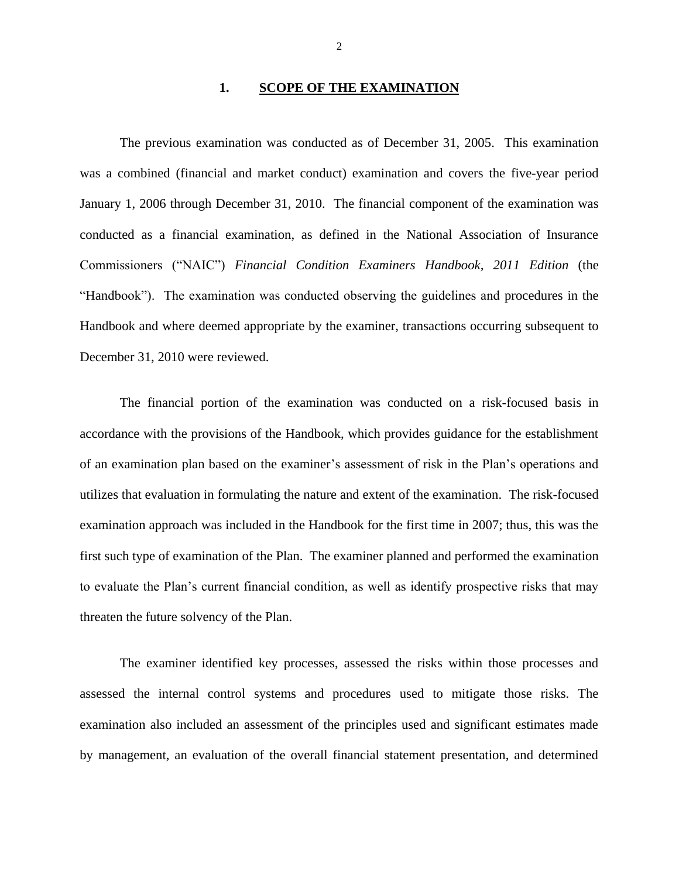### **1. SCOPE OF THE EXAMINATION**

 The previous examination was conducted as of December 31, 2005. This examination was a combined (financial and market conduct) examination and covers the five-year period January 1, 2006 through December 31, 2010. The financial component of the examination was conducted as a financial examination, as defined in the National Association of Insurance Commissioners ("NAIC") *Financial Condition Examiners Handbook, 2011 Edition* (the December 31, 2010 were reviewed. December 31, 2010 were reviewed.<br>The financial portion of the examination was conducted on a risk-focused basis in "Handbook"). The examination was conducted observing the guidelines and procedures in the Handbook and where deemed appropriate by the examiner, transactions occurring subsequent to

 of an examination plan based on the examiner's assessment of risk in the Plan's operations and examination approach was included in the Handbook for the first time in 2007; thus, this was the first such type of examination of the Plan. The examiner planned and performed the examination threaten the future solvency of the Plan. accordance with the provisions of the Handbook, which provides guidance for the establishment utilizes that evaluation in formulating the nature and extent of the examination. The risk-focused to evaluate the Plan's current financial condition, as well as identify prospective risks that may

 examination also included an assessment of the principles used and significant estimates made by management, an evaluation of the overall financial statement presentation, and determined The examiner identified key processes, assessed the risks within those processes and assessed the internal control systems and procedures used to mitigate those risks. The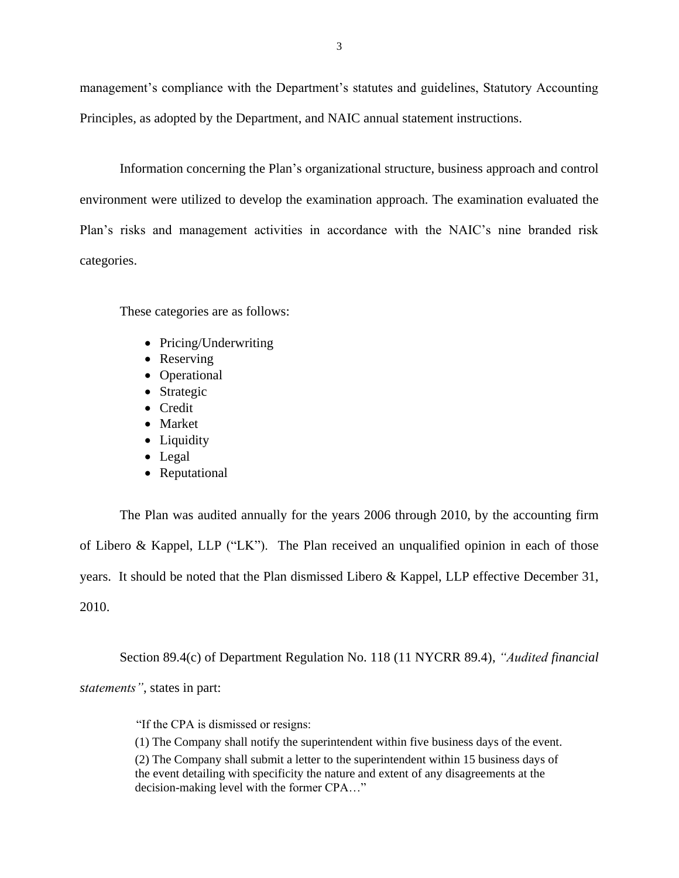management's compliance with the Department's statutes and guidelines, Statutory Accounting Principles, as adopted by the Department, and NAIC annual statement instructions.

 environment were utilized to develop the examination approach. The examination evaluated the Plan's risks and management activities in accordance with the NAIC's nine branded risk Information concerning the Plan's organizational structure, business approach and control categories.

These categories are as follows:

- Pricing/Underwriting
- Reserving
- Operational
- Strategic
- Credit
- Market
- Liquidity
- Legal
- Reputational

 The Plan was audited annually for the years 2006 through 2010, by the accounting firm of Libero & Kappel, LLP ("LK"). The Plan received an unqualified opinion in each of those years. It should be noted that the Plan dismissed Libero & Kappel, LLP effective December 31,  $2010.$ 2010. Section 89.4(c) of Department Regulation No. 118 (11 NYCRR 89.4), *"Audited financial* 

*statements"*, states in part:

"If the CPA is dismissed or resigns:

(1) The Company shall notify the superintendent within five business days of the event.

(2) The Company shall submit a letter to the superintendent within 15 business days of the event detailing with specificity the nature and extent of any disagreements at the decision-making level with the former CPA…"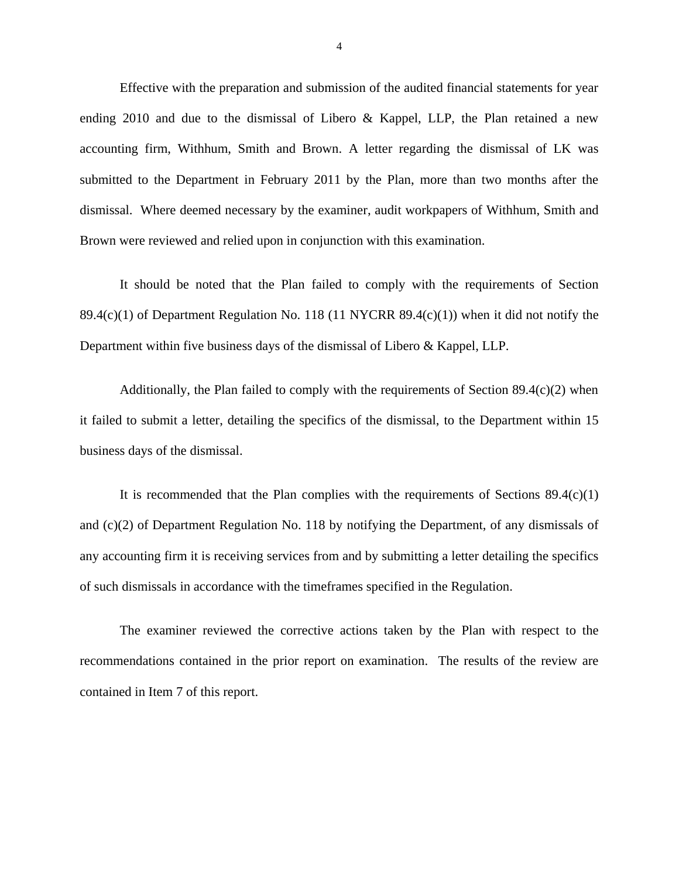Effective with the preparation and submission of the audited financial statements for year accounting firm, Withhum, Smith and Brown. A letter regarding the dismissal of LK was submitted to the Department in February 2011 by the Plan, more than two months after the Brown were reviewed and relied upon in conjunction with this examination. Brown were reviewed and relied upon in conjunction with this examination.<br>It should be noted that the Plan failed to comply with the requirements of Section ending 2010 and due to the dismissal of Libero & Kappel, LLP, the Plan retained a new dismissal. Where deemed necessary by the examiner, audit workpapers of Withhum, Smith and

89.4(c)(1) of Department Regulation No. 118 (11 NYCRR 89.4(c)(1)) when it did not notify the Department within five business days of the dismissal of Libero & Kappel, LLP.

 Additionally, the Plan failed to comply with the requirements of Section 89.4(c)(2) when it failed to submit a letter, detailing the specifics of the dismissal, to the Department within 15 business days of the dismissal.

It is recommended that the Plan complies with the requirements of Sections  $89.4(c)(1)$  and (c)(2) of Department Regulation No. 118 by notifying the Department, of any dismissals of any accounting firm it is receiving services from and by submitting a letter detailing the specifics of such dismissals in accordance with the timeframes specified in the Regulation.

 The examiner reviewed the corrective actions taken by the Plan with respect to the recommendations contained in the prior report on examination. The results of the review are contained in Item 7 of this report.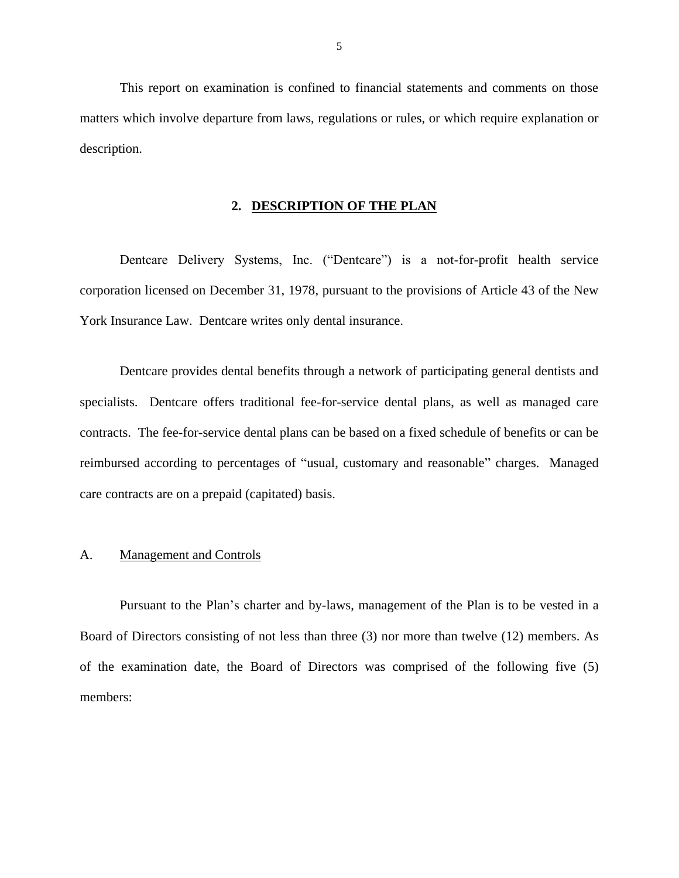<span id="page-6-0"></span> matters which involve departure from laws, regulations or rules, or which require explanation or This report on examination is confined to financial statements and comments on those description.

### **2. DESCRIPTION OF THE PLAN**

 corporation licensed on December 31, 1978, pursuant to the provisions of Article 43 of the New York Insurance Law. Dentcare writes only dental insurance. Dentcare Delivery Systems, Inc. ("Dentcare") is a not-for-profit health service

 specialists. Dentcare offers traditional fee-for-service dental plans, as well as managed care contracts. The fee-for-service dental plans can be based on a fixed schedule of benefits or can be reimbursed according to percentages of "usual, customary and reasonable" charges. Managed care contracts are on a prepaid (capitated) basis. Dentcare provides dental benefits through a network of participating general dentists and

### A. Management and Controls

 Pursuant to the Plan's charter and by-laws, management of the Plan is to be vested in a Board of Directors consisting of not less than three (3) nor more than twelve (12) members. As of the examination date, the Board of Directors was comprised of the following five (5) members: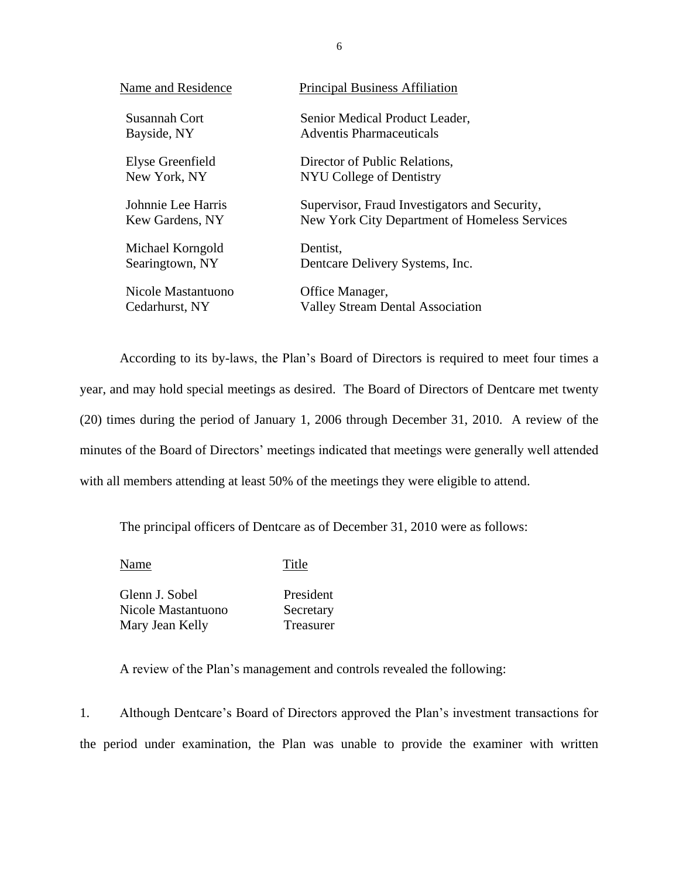| Name and Residence | <b>Principal Business Affiliation</b>         |
|--------------------|-----------------------------------------------|
| Susannah Cort      | Senior Medical Product Leader,                |
| Bayside, NY        | <b>Adventis Pharmaceuticals</b>               |
| Elyse Greenfield   | Director of Public Relations,                 |
| New York, NY       | NYU College of Dentistry                      |
| Johnnie Lee Harris | Supervisor, Fraud Investigators and Security, |
| Kew Gardens, NY    | New York City Department of Homeless Services |
| Michael Korngold   | Dentist.                                      |
| Searingtown, NY    | Dentcare Delivery Systems, Inc.               |
| Nicole Mastantuono | Office Manager,                               |
| Cedarhurst, NY     | <b>Valley Stream Dental Association</b>       |

 According to its by-laws, the Plan's Board of Directors is required to meet four times a year, and may hold special meetings as desired. The Board of Directors of Dentcare met twenty (20) times during the period of January 1, 2006 through December 31, 2010. A review of the minutes of the Board of Directors' meetings indicated that meetings were generally well attended with all members attending at least 50% of the meetings they were eligible to attend.

The principal officers of Dentcare as of December 31, 2010 were as follows:

Name Title

Glenn J. Sobel President Nicole Mastantuono Secretary Mary Jean Kelly Treasurer

A review of the Plan's management and controls revealed the following:

 1. Although Dentcare's Board of Directors approved the Plan's investment transactions for the period under examination, the Plan was unable to provide the examiner with written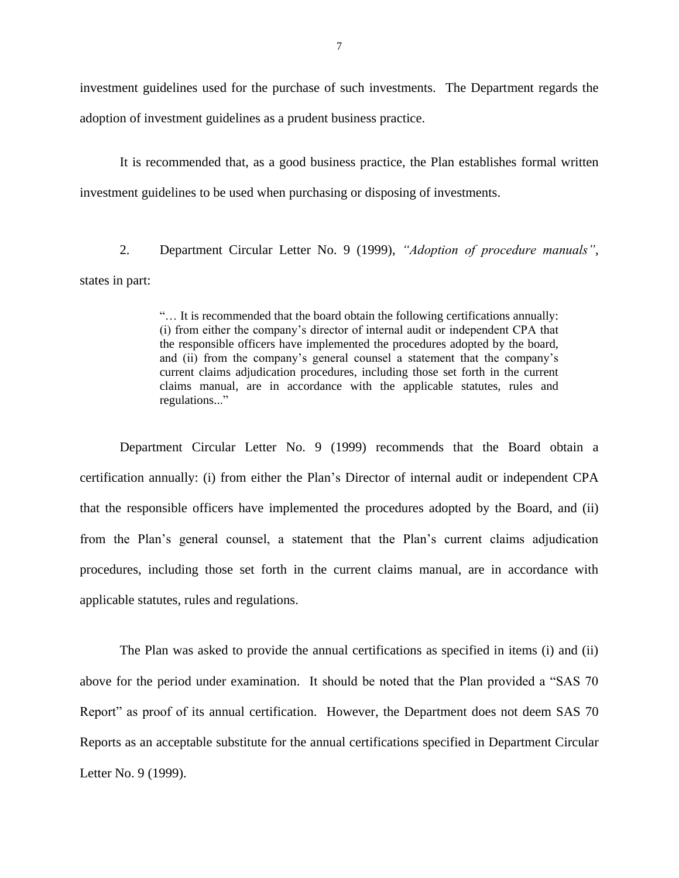investment guidelines used for the purchase of such investments. The Department regards the adoption of investment guidelines as a prudent business practice.

It is recommended that, as a good business practice, the Plan establishes formal written investment guidelines to be used when purchasing or disposing of investments.

2. Department Circular Letter No. 9 (1999), *"Adoption of procedure manuals"*, states in part:

> the responsible officers have implemented the procedures adopted by the board, current claims adjudication procedures, including those set forth in the current "… It is recommended that the board obtain the following certifications annually: (i) from either the company's director of internal audit or independent CPA that and (ii) from the company's general counsel a statement that the company's claims manual, are in accordance with the applicable statutes, rules and regulations..."

 certification annually: (i) from either the Plan's Director of internal audit or independent CPA that the responsible officers have implemented the procedures adopted by the Board, and (ii) from the Plan's general counsel, a statement that the Plan's current claims adjudication procedures, including those set forth in the current claims manual, are in accordance with Department Circular Letter No. 9 (1999) recommends that the Board obtain a applicable statutes, rules and regulations.

 The Plan was asked to provide the annual certifications as specified in items (i) and (ii) above for the period under examination. It should be noted that the Plan provided a "SAS 70 Report" as proof of its annual certification. However, the Department does not deem SAS 70 Letter No. 9 (1999). Reports as an acceptable substitute for the annual certifications specified in Department Circular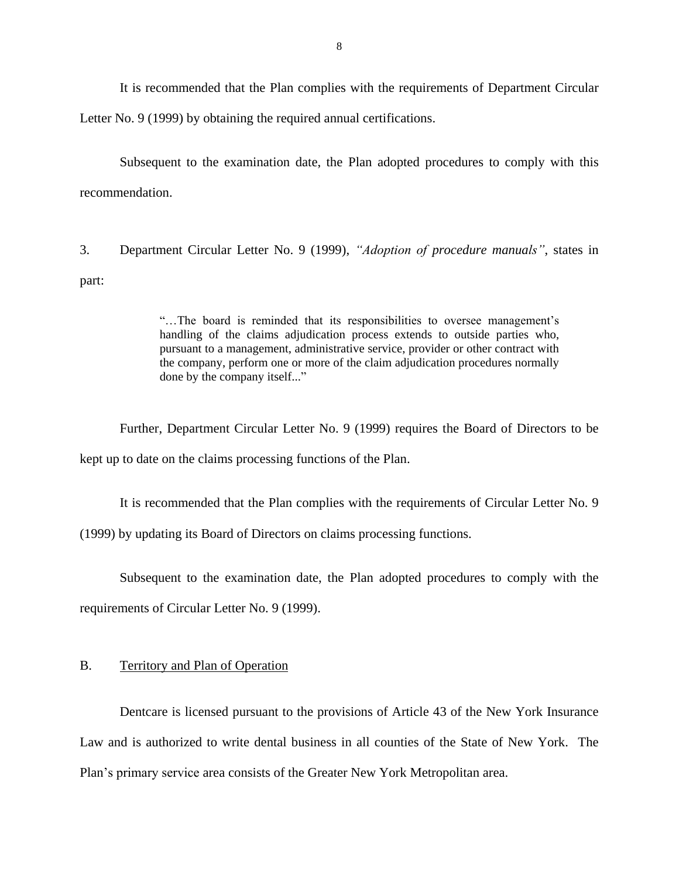<span id="page-9-0"></span> It is recommended that the Plan complies with the requirements of Department Circular Letter No. 9 (1999) by obtaining the required annual certifications.

 Subsequent to the examination date, the Plan adopted procedures to comply with this recommendation.

3. Department Circular Letter No. 9 (1999), *"Adoption of procedure manuals"*, states in part:

> handling of the claims adjudication process extends to outside parties who, the company, perform one or more of the claim adjudication procedures normally "…The board is reminded that its responsibilities to oversee management's pursuant to a management, administrative service, provider or other contract with done by the company itself..."

 Further, Department Circular Letter No. 9 (1999) requires the Board of Directors to be kept up to date on the claims processing functions of the Plan.

It is recommended that the Plan complies with the requirements of Circular Letter No. 9

(1999) by updating its Board of Directors on claims processing functions.

Subsequent to the examination date, the Plan adopted procedures to comply with the

requirements of Circular Letter No. 9 (1999).

### B. Territory and Plan of Operation

 Dentcare is licensed pursuant to the provisions of Article 43 of the New York Insurance Law and is authorized to write dental business in all counties of the State of New York. The Plan's primary service area consists of the Greater New York Metropolitan area.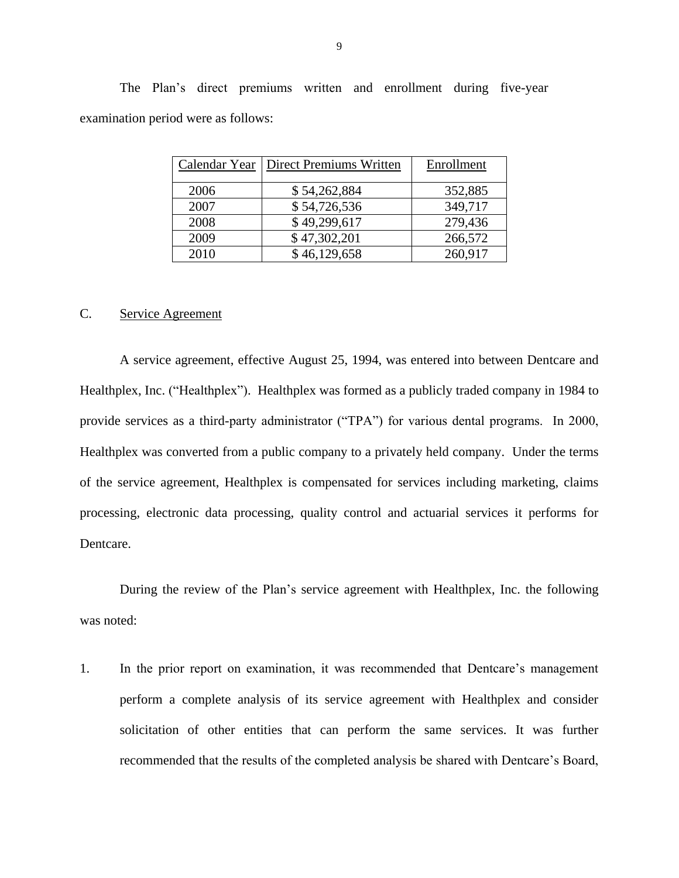The Plan's direct premiums written and enrollment during five-year examination period were as follows:

| Calendar Year | <b>Direct Premiums Written</b> | Enrollment |
|---------------|--------------------------------|------------|
| 2006          | \$54,262,884                   | 352,885    |
| 2007          | \$54,726,536                   | 349,717    |
| 2008          | \$49,299,617                   | 279,436    |
| 2009          | \$47,302,201                   | 266,572    |
| 2010          | \$46,129,658                   | 260,917    |

### C. Service Agreement

 Healthplex, Inc. ("Healthplex"). Healthplex was formed as a publicly traded company in 1984 to provide services as a third-party administrator ("TPA") for various dental programs. In 2000, Healthplex was converted from a public company to a privately held company. Under the terms of the service agreement, Healthplex is compensated for services including marketing, claims processing, electronic data processing, quality control and actuarial services it performs for A service agreement, effective August 25, 1994, was entered into between Dentcare and Dentcare.

 was noted: During the review of the Plan's service agreement with Healthplex, Inc. the following

 perform a complete analysis of its service agreement with Healthplex and consider solicitation of other entities that can perform the same services. It was further recommended that the results of the completed analysis be shared with Dentcare's Board,1. In the prior report on examination, it was recommended that Dentcare's management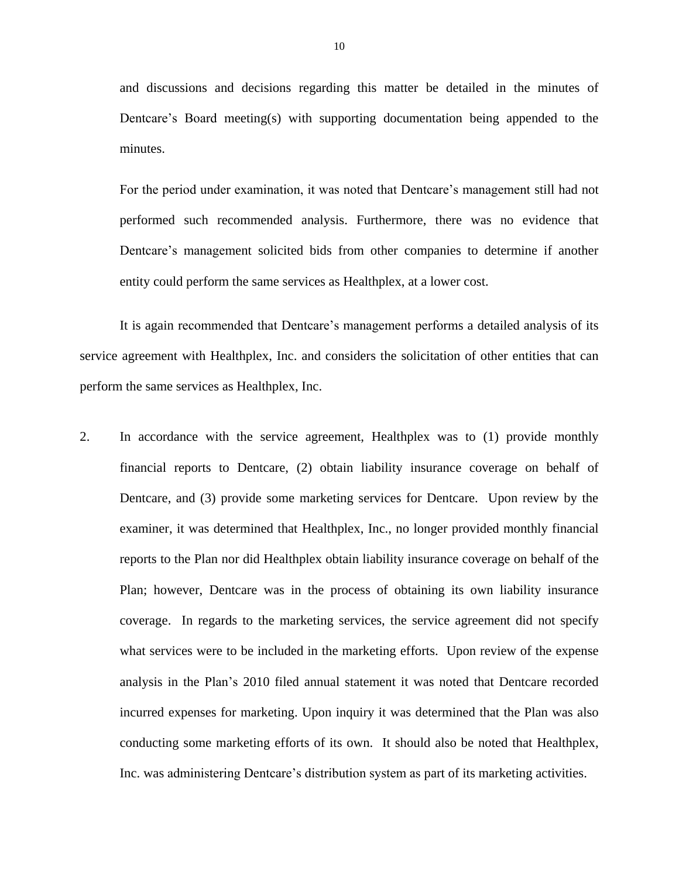and discussions and decisions regarding this matter be detailed in the minutes of Dentcare's Board meeting(s) with supporting documentation being appended to the minutes.

 For the period under examination, it was noted that Dentcare's management still had not performed such recommended analysis. Furthermore, there was no evidence that Dentcare's management solicited bids from other companies to determine if another entity could perform the same services as Healthplex, at a lower cost.

It is again recommended that Dentcare's management performs a detailed analysis of its service agreement with Healthplex, Inc. and considers the solicitation of other entities that can perform the same services as Healthplex, Inc.

 financial reports to Dentcare, (2) obtain liability insurance coverage on behalf of Dentcare, and (3) provide some marketing services for Dentcare. Upon review by the reports to the Plan nor did Healthplex obtain liability insurance coverage on behalf of the Plan; however, Dentcare was in the process of obtaining its own liability insurance coverage. In regards to the marketing services, the service agreement did not specify what services were to be included in the marketing efforts. Upon review of the expense analysis in the Plan's 2010 filed annual statement it was noted that Dentcare recorded incurred expenses for marketing. Upon inquiry it was determined that the Plan was also conducting some marketing efforts of its own. It should also be noted that Healthplex, Inc. was administering Dentcare's distribution system as part of its marketing activities. 2. In accordance with the service agreement, Healthplex was to (1) provide monthly examiner, it was determined that Healthplex, Inc., no longer provided monthly financial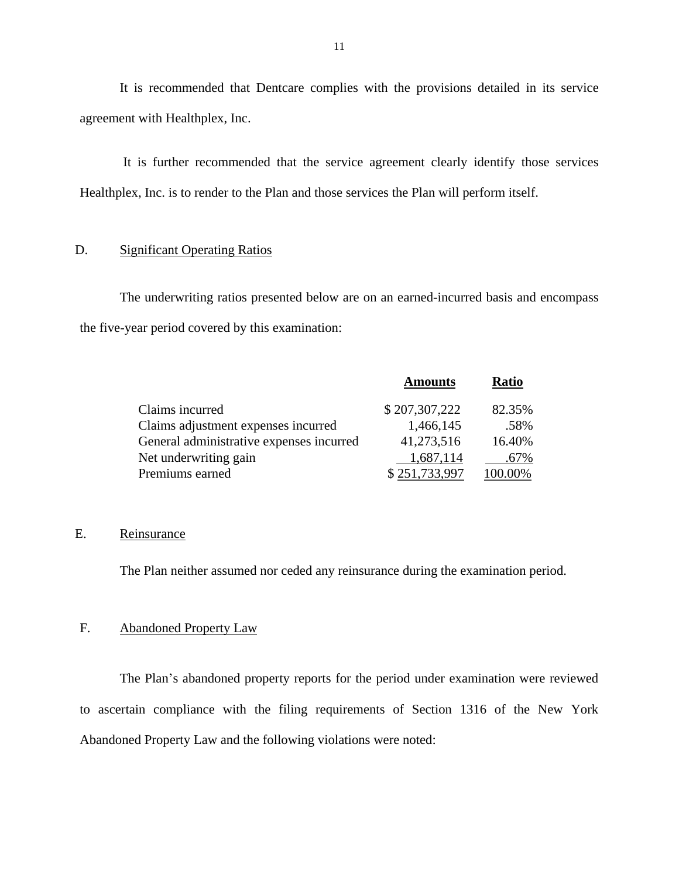It is recommended that Dentcare complies with the provisions detailed in its service agreement with Healthplex, Inc.

 It is further recommended that the service agreement clearly identify those services Healthplex, Inc. is to render to the Plan and those services the Plan will perform itself.

### D. Significant Operating Ratios

The underwriting ratios presented below are on an earned-incurred basis and encompass the five-year period covered by this examination:

|                                          | <b>Amounts</b> | <b>Ratio</b> |
|------------------------------------------|----------------|--------------|
| Claims incurred                          | \$207,307,222  | 82.35%       |
| Claims adjustment expenses incurred      | 1,466,145      | .58%         |
| General administrative expenses incurred | 41,273,516     | 16.40%       |
| Net underwriting gain                    | 1,687,114      | .67%         |
| Premiums earned                          | \$251,733,997  | 100.00%      |

### Reinsurance

E. Reinsurance<br>The Plan neither assumed nor ceded any reinsurance during the examination period.

### F. Abandoned Property Law

 to ascertain compliance with the filing requirements of Section 1316 of the New York Abandoned Property Law and the following violations were noted: The Plan's abandoned property reports for the period under examination were reviewed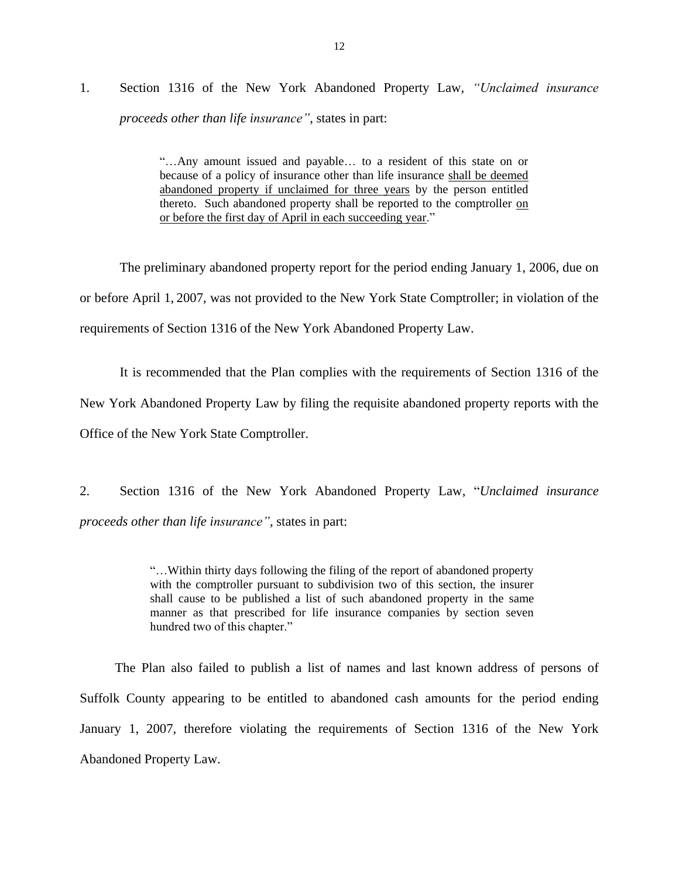## 1. Section 1316 of the New York Abandoned Property Law, *"Unclaimed insurance proceeds other than life insurance"*, states in part:

 "…Any amount issued and payable… to a resident of this state on or because of a policy of insurance other than life insurance shall be deemed abandoned property if unclaimed for three years by the person entitled thereto. Such abandoned property shall be reported to the comptroller on or before the first day of April in each succeeding year."

 or before April 1, 2007, was not provided to the New York State Comptroller; in violation of the The preliminary abandoned property report for the period ending January 1, 2006, due on requirements of Section 1316 of the New York Abandoned Property Law.

 It is recommended that the Plan complies with the requirements of Section 1316 of the New York Abandoned Property Law by filing the requisite abandoned property reports with the Office of the New York State Comptroller.

 Office of the New York State Comptroller. 2. Section 1316 of the New York Abandoned Property Law, "*Unclaimed insurance proceeds other than life insurance"*, states in part:

> "…Within thirty days following the filing of the report of abandoned property with the comptroller pursuant to subdivision two of this section, the insurer shall cause to be published a list of such abandoned property in the same manner as that prescribed for life insurance companies by section seven hundred two of this chapter."

 The Plan also failed to publish a list of names and last known address of persons of Suffolk County appearing to be entitled to abandoned cash amounts for the period ending January 1, 2007, therefore violating the requirements of Section 1316 of the New York Abandoned Property Law.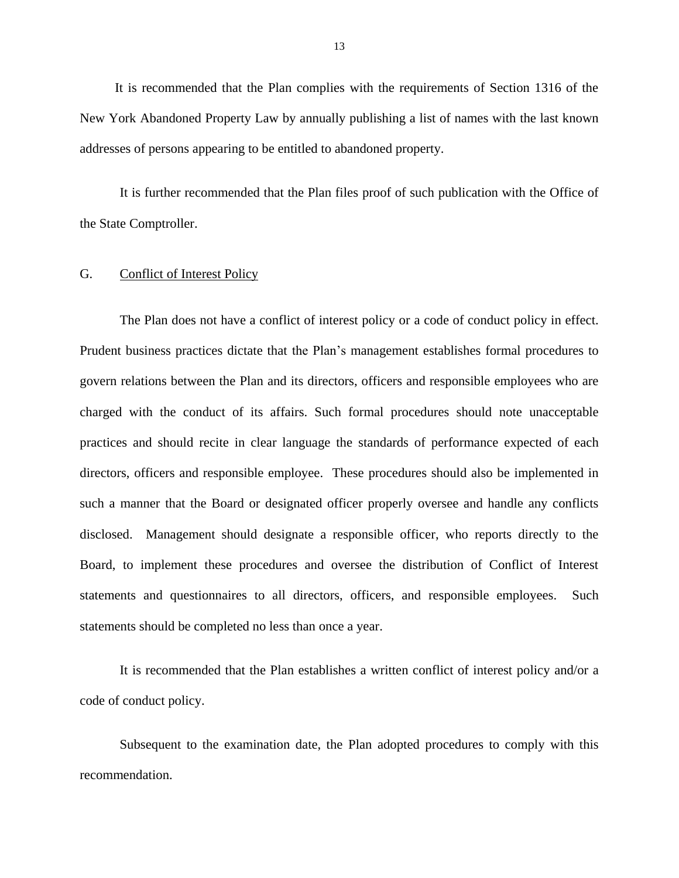<span id="page-14-0"></span> It is recommended that the Plan complies with the requirements of Section 1316 of the New York Abandoned Property Law by annually publishing a list of names with the last known addresses of persons appearing to be entitled to abandoned property.

It is further recommended that the Plan files proof of such publication with the Office of the State Comptroller.

### G. Conflict of Interest Policy

 The Plan does not have a conflict of interest policy or a code of conduct policy in effect. Prudent business practices dictate that the Plan's management establishes formal procedures to govern relations between the Plan and its directors, officers and responsible employees who are charged with the conduct of its affairs. Such formal procedures should note unacceptable practices and should recite in clear language the standards of performance expected of each directors, officers and responsible employee. These procedures should also be implemented in such a manner that the Board or designated officer properly oversee and handle any conflicts Board, to implement these procedures and oversee the distribution of Conflict of Interest statements and questionnaires to all directors, officers, and responsible employees. Such disclosed. Management should designate a responsible officer, who reports directly to the statements should be completed no less than once a year.

 It is recommended that the Plan establishes a written conflict of interest policy and/or a code of conduct policy.

 Subsequent to the examination date, the Plan adopted procedures to comply with this recommendation.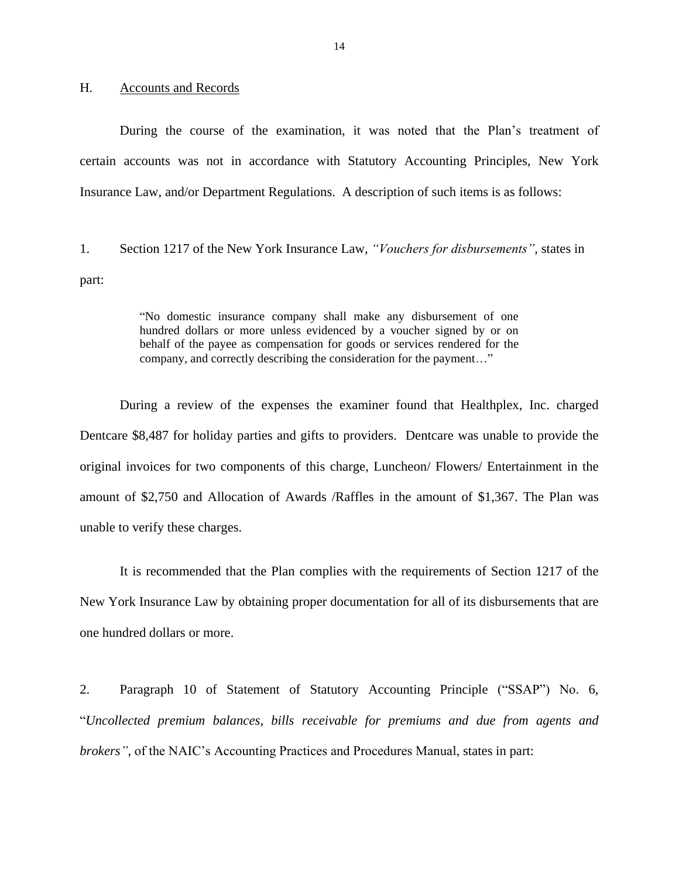### <span id="page-15-0"></span>H. Accounts and Records

 During the course of the examination, it was noted that the Plan's treatment of certain accounts was not in accordance with Statutory Accounting Principles, New York Insurance Law, and/or Department Regulations. A description of such items is as follows:

 1. Section 1217 of the New York Insurance Law, *"Vouchers for disbursements"*, states in part:

> "No domestic insurance company shall make any disbursement of one hundred dollars or more unless evidenced by a voucher signed by or on behalf of the payee as compensation for goods or services rendered for the company, and correctly describing the consideration for the payment…"

 During a review of the expenses the examiner found that Healthplex, Inc. charged Dentcare \$8,487 for holiday parties and gifts to providers. Dentcare was unable to provide the original invoices for two components of this charge, Luncheon/ Flowers/ Entertainment in the amount of \$2,750 and Allocation of Awards /Raffles in the amount of \$1,367. The Plan was unable to verify these charges.

 It is recommended that the Plan complies with the requirements of Section 1217 of the New York Insurance Law by obtaining proper documentation for all of its disbursements that are one hundred dollars or more. one hundred dollars or more.<br>2. Paragraph 10 of Statement of Statutory Accounting Principle ("SSAP") No. 6,

 "*Uncollected premium balances, bills receivable for premiums and due from agents and brokers"*, of the NAIC's Accounting Practices and Procedures Manual, states in part: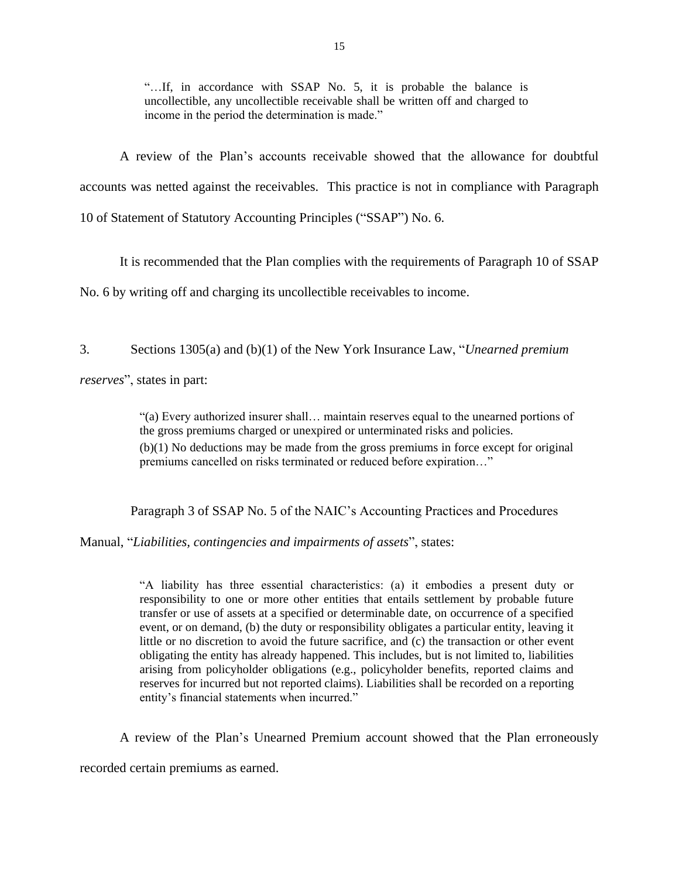"…If, in accordance with SSAP No. 5, it is probable the balance is income in the period the determination is made." uncollectible, any uncollectible receivable shall be written off and charged to

 A review of the Plan's accounts receivable showed that the allowance for doubtful accounts was netted against the receivables. This practice is not in compliance with Paragraph 10 of Statement of Statutory Accounting Principles ("SSAP") No. 6.

It is recommended that the Plan complies with the requirements of Paragraph 10 of SSAP

No. 6 by writing off and charging its uncollectible receivables to income.

No. 6 by writing off and charging its uncollectible receivables to income. 3. Sections 1305(a) and (b)(1) of the New York Insurance Law, "*Unearned premium* 

*reserves*", states in part:

 (b)(1) No deductions may be made from the gross premiums in force except for original "(a) Every authorized insurer shall… maintain reserves equal to the unearned portions of the gross premiums charged or unexpired or unterminated risks and policies. premiums cancelled on risks terminated or reduced before expiration…"

Paragraph 3 of SSAP No. 5 of the NAIC's Accounting Practices and Procedures

Manual, "*Liabilities, contingencies and impairments of assets*", states:

 "A liability has three essential characteristics: (a) it embodies a present duty or responsibility to one or more other entities that entails settlement by probable future transfer or use of assets at a specified or determinable date, on occurrence of a specified event, or on demand, (b) the duty or responsibility obligates a particular entity, leaving it little or no discretion to avoid the future sacrifice, and (c) the transaction or other event obligating the entity has already happened. This includes, but is not limited to, liabilities arising from policyholder obligations (e.g., policyholder benefits, reported claims and reserves for incurred but not reported claims). Liabilities shall be recorded on a reporting entity's financial statements when incurred."

A review of the Plan's Unearned Premium account showed that the Plan erroneously

recorded certain premiums as earned.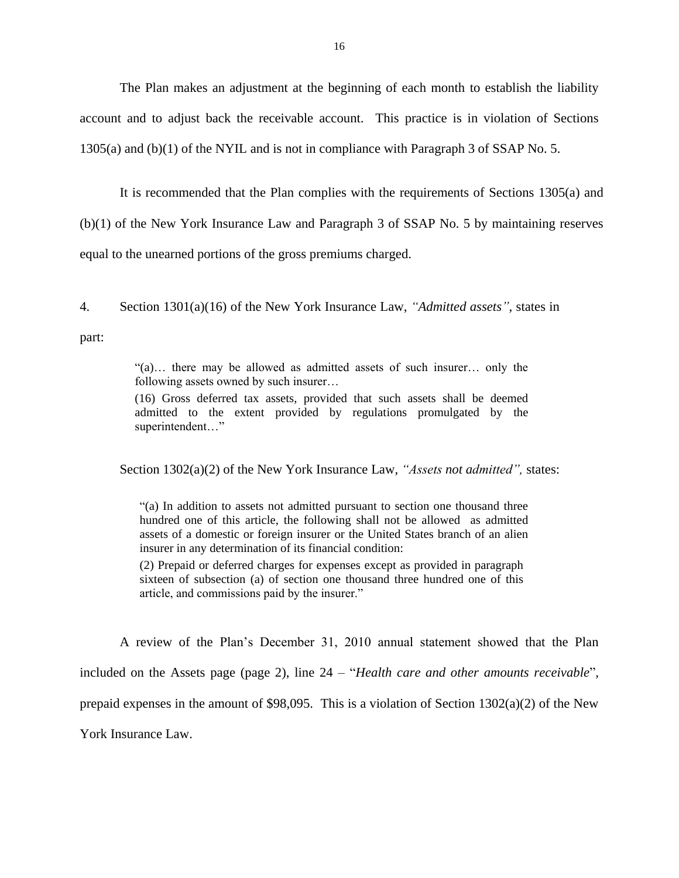The Plan makes an adjustment at the beginning of each month to establish the liability account and to adjust back the receivable account. This practice is in violation of Sections 1305(a) and (b)(1) of the NYIL and is not in compliance with Paragraph 3 of SSAP No. 5.

equal to the unearned portions of the gross premiums charged. It is recommended that the Plan complies with the requirements of Sections 1305(a) and (b)(1) of the New York Insurance Law and Paragraph 3 of SSAP No. 5 by maintaining reserves

equal to the unearned portions of the gross premiums charged.<br>4. Section  $1301(a)(16)$  of the New York Insurance Law, *"Admitted assets"*, states in part:

> "(a)… there may be allowed as admitted assets of such insurer… only the following assets owned by such insurer…

> admitted to the extent provided by regulations promulgated by the superintendent…" (16) Gross deferred tax assets, provided that such assets shall be deemed

Section 1302(a)(2) of the New York Insurance Law, *"Assets not admitted",* states:

 "(a) In addition to assets not admitted pursuant to section one thousand three hundred one of this article, the following shall not be allowed as admitted assets of a domestic or foreign insurer or the United States branch of an alien insurer in any determination of its financial condition:

 (2) Prepaid or deferred charges for expenses except as provided in paragraph sixteen of subsection (a) of section one thousand three hundred one of this article, and commissions paid by the insurer."

 A review of the Plan's December 31, 2010 annual statement showed that the Plan included on the Assets page (page 2), line 24 – "*Health care and other amounts receivable*", prepaid expenses in the amount of \$98,095. This is a violation of Section 1302(a)(2) of the New York Insurance Law.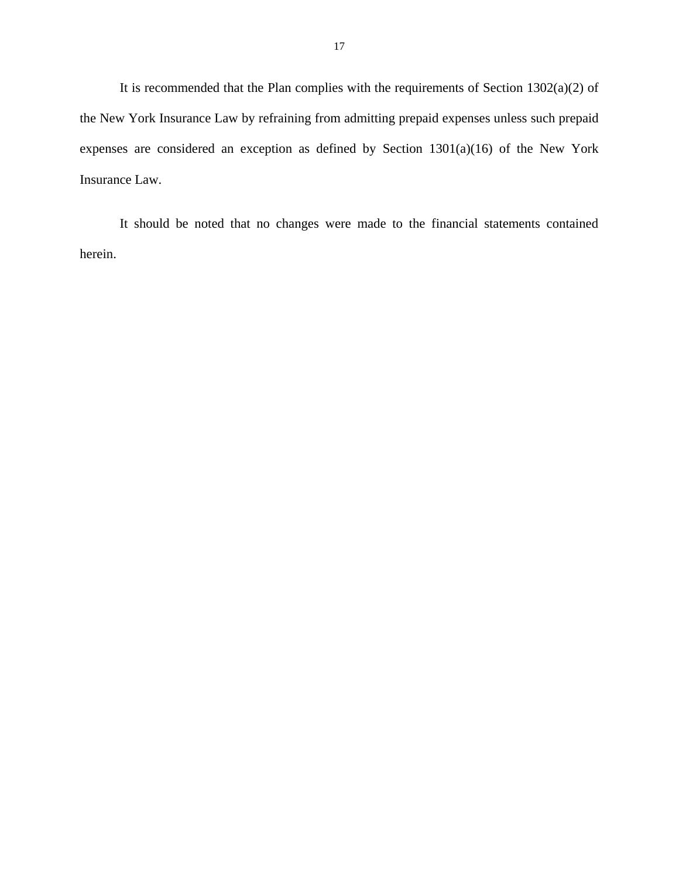It is recommended that the Plan complies with the requirements of Section  $1302(a)(2)$  of the New York Insurance Law by refraining from admitting prepaid expenses unless such prepaid expenses are considered an exception as defined by Section 1301(a)(16) of the New York Insurance Law.

It should be noted that no changes were made to the financial statements contained herein.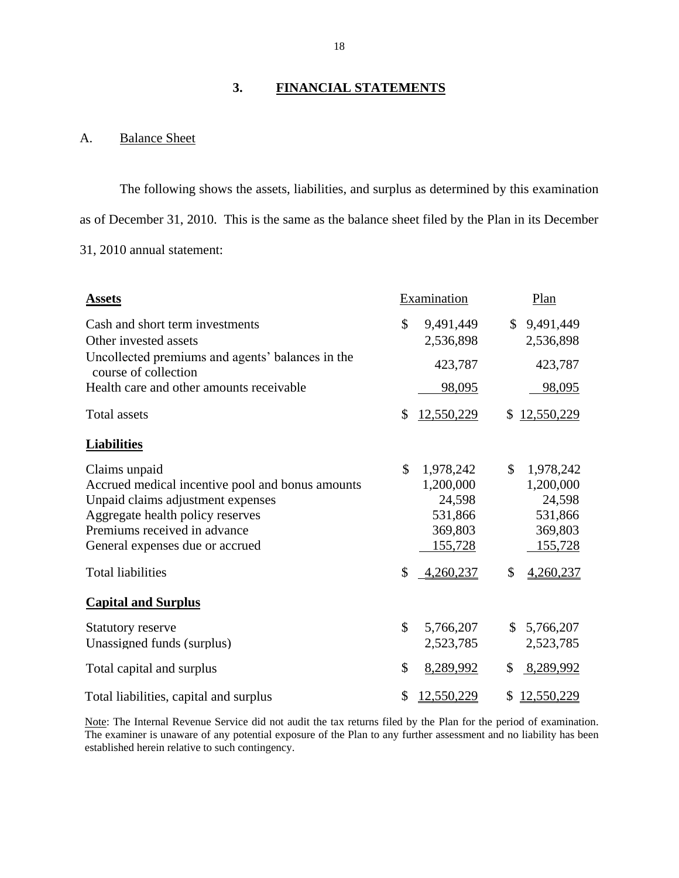### $3.$ **3. FINANCIAL STATEMENTS**

### A. Balance Sheet

 as of December 31, 2010. This is the same as the balance sheet filed by the Plan in its December The following shows the assets, liabilities, and surplus as determined by this examination 31, 2010 annual statement:

| <b>Assets</b>                                                                                                                                                                                                                             |          | Examination                                                                    |          | Plan                                                                                  |
|-------------------------------------------------------------------------------------------------------------------------------------------------------------------------------------------------------------------------------------------|----------|--------------------------------------------------------------------------------|----------|---------------------------------------------------------------------------------------|
| Cash and short term investments<br>Other invested assets                                                                                                                                                                                  | \$       | 9,491,449<br>2,536,898                                                         | \$       | 9,491,449<br>2,536,898                                                                |
| Uncollected premiums and agents' balances in the<br>course of collection                                                                                                                                                                  |          | 423,787                                                                        |          | 423,787                                                                               |
| Health care and other amounts receivable                                                                                                                                                                                                  |          | 98,095                                                                         |          | 98,095                                                                                |
| <b>Total assets</b>                                                                                                                                                                                                                       | \$       | 12,550,229                                                                     | \$       | 12,550,229                                                                            |
| <b>Liabilities</b>                                                                                                                                                                                                                        |          |                                                                                |          |                                                                                       |
| Claims unpaid<br>Accrued medical incentive pool and bonus amounts<br>Unpaid claims adjustment expenses<br>Aggregate health policy reserves<br>Premiums received in advance<br>General expenses due or accrued<br><b>Total liabilities</b> | \$<br>\$ | 1,978,242<br>1,200,000<br>24,598<br>531,866<br>369,803<br>155,728<br>4,260,237 | \$<br>\$ | 1,978,242<br>1,200,000<br>24,598<br>531,866<br>369,803<br><u>155,728</u><br>4,260,237 |
| <b>Capital and Surplus</b>                                                                                                                                                                                                                |          |                                                                                |          |                                                                                       |
| <b>Statutory reserve</b><br>Unassigned funds (surplus)                                                                                                                                                                                    | \$       | 5,766,207<br>2,523,785                                                         | \$       | 5,766,207<br>2,523,785                                                                |
| Total capital and surplus                                                                                                                                                                                                                 | \$       | 8,289,992                                                                      | \$       | 8,289,992                                                                             |
| Total liabilities, capital and surplus                                                                                                                                                                                                    | \$       | 12,550,229                                                                     | \$       | 12,550,229                                                                            |

Note: The Internal Revenue Service did not audit the tax returns filed by the Plan for the period of examination. The examiner is unaware of any potential exposure of the Plan to any further assessment and no liability has been established herein relative to such contingency.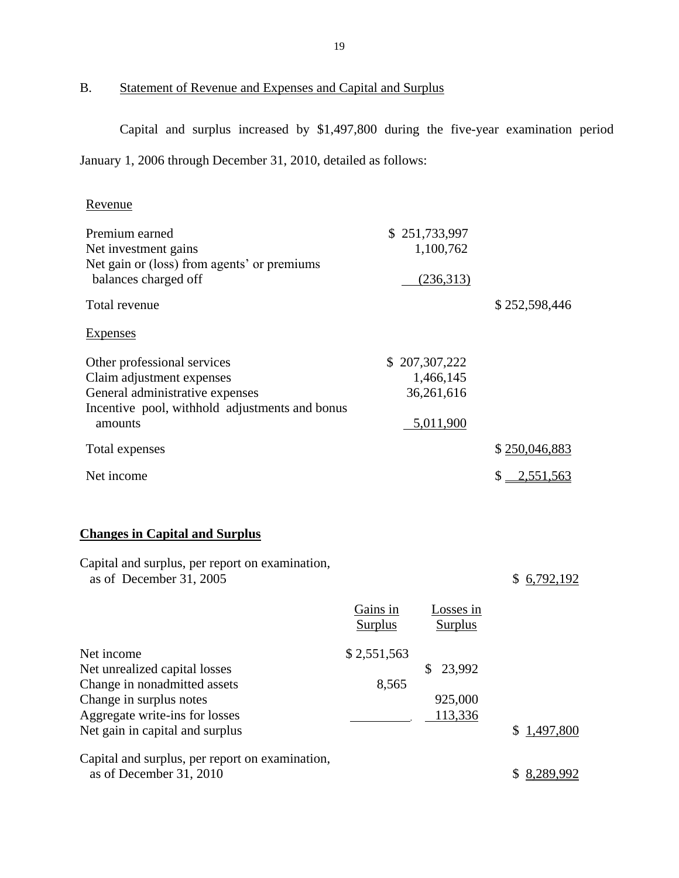<span id="page-20-0"></span>B. Statement of Revenue and Expenses and Capital and Surplus

 Capital and surplus increased by \$1,497,800 during the five-year examination period January 1, 2006 through December 31, 2010, detailed as follows:

### Revenue

| Premium earned<br>Net investment gains<br>Net gain or (loss) from agents' or premiums<br>balances charged off                                                               |                            | \$251,733,997<br>1,100,762<br>(236,313)               |                 |
|-----------------------------------------------------------------------------------------------------------------------------------------------------------------------------|----------------------------|-------------------------------------------------------|-----------------|
| Total revenue                                                                                                                                                               |                            |                                                       | \$252,598,446   |
| <b>Expenses</b>                                                                                                                                                             |                            |                                                       |                 |
| Other professional services<br>Claim adjustment expenses<br>General administrative expenses<br>Incentive pool, withhold adjustments and bonus<br>amounts                    |                            | \$207,307,222<br>1,466,145<br>36,261,616<br>5,011,900 |                 |
| Total expenses                                                                                                                                                              |                            |                                                       | \$250,046,883   |
| Net income                                                                                                                                                                  |                            |                                                       | $$ -2,551,563$  |
| <b>Changes in Capital and Surplus</b><br>Capital and surplus, per report on examination,<br>as of December 31, 2005                                                         |                            |                                                       | \$6,792,192     |
|                                                                                                                                                                             | Gains in<br><b>Surplus</b> | Losses in<br><b>Surplus</b>                           |                 |
| Net income<br>Net unrealized capital losses<br>Change in nonadmitted assets<br>Change in surplus notes<br>Aggregate write-ins for losses<br>Net gain in capital and surplus | \$2,551,563<br>8,565       | \$<br>23,992<br>925,000<br>113,336                    | 1,497,800<br>\$ |
| Capital and surplus, per report on examination,<br>as of December 31, 2010                                                                                                  |                            |                                                       | \$ 8,289,992    |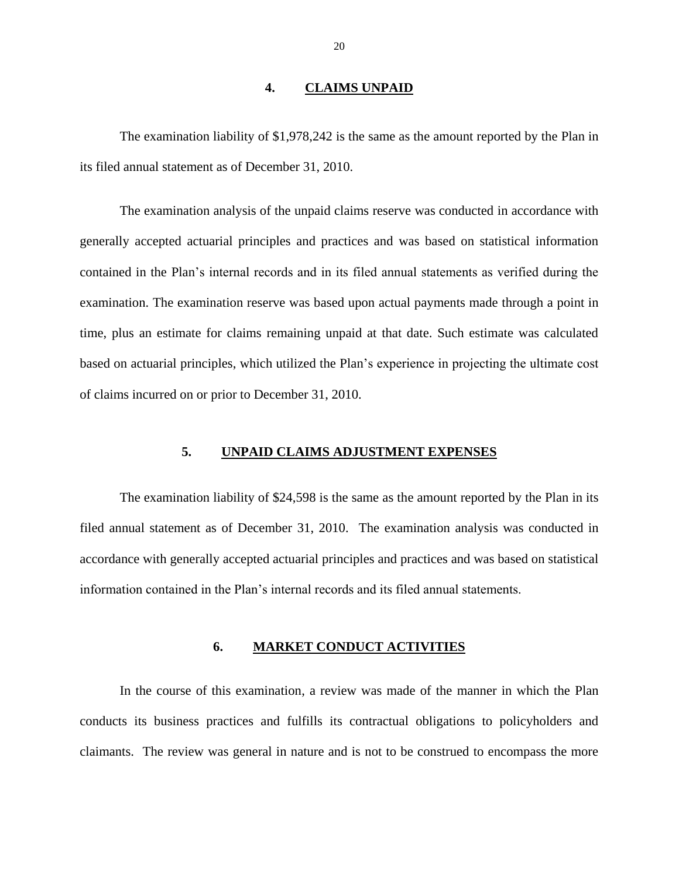### **4. CLAIMS UNPAID**

<span id="page-21-0"></span> The examination liability of \$1,978,242 is the same as the amount reported by the Plan in its filed annual statement as of December 31, 2010.

 The examination analysis of the unpaid claims reserve was conducted in accordance with contained in the Plan's internal records and in its filed annual statements as verified during the time, plus an estimate for claims remaining unpaid at that date. Such estimate was calculated of claims incurred on or prior to December 31, 2010. generally accepted actuarial principles and practices and was based on statistical information examination. The examination reserve was based upon actual payments made through a point in based on actuarial principles, which utilized the Plan's experience in projecting the ultimate cost

### **5. UNPAID CLAIMS ADJUSTMENT EXPENSES**

 The examination liability of \$24,598 is the same as the amount reported by the Plan in its filed annual statement as of December 31, 2010. The examination analysis was conducted in information contained in the Plan's internal records and its filed annual statements. accordance with generally accepted actuarial principles and practices and was based on statistical

### **6. MARKET CONDUCT ACTIVITIES**

 In the course of this examination, a review was made of the manner in which the Plan conducts its business practices and fulfills its contractual obligations to policyholders and claimants. The review was general in nature and is not to be construed to encompass the more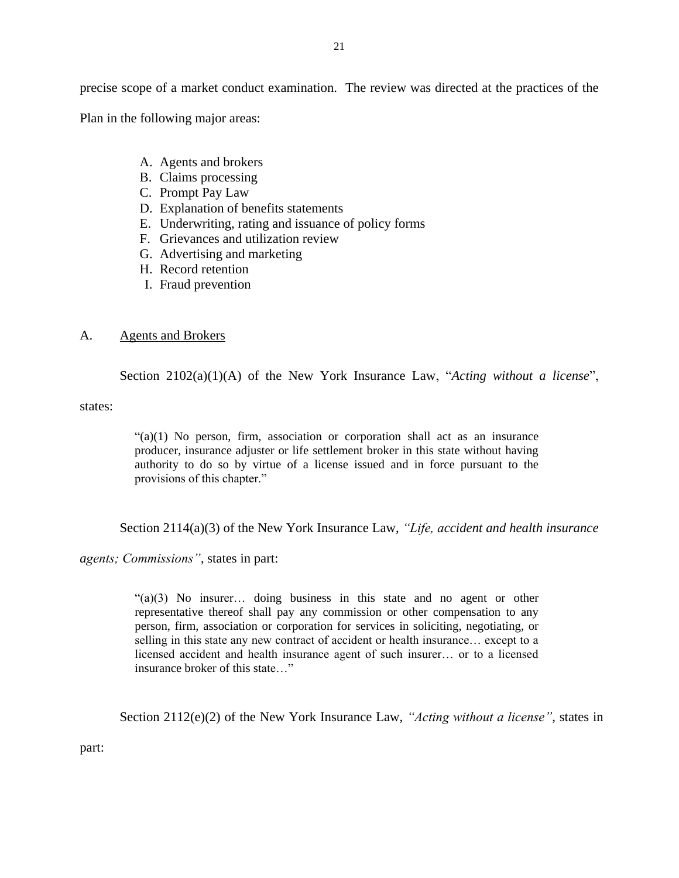<span id="page-22-0"></span> precise scope of a market conduct examination. The review was directed at the practices of the Plan in the following major areas:

- A. Agents and brokers
- B. Claims processing
- C. Prompt Pay Law
- D. Explanation of benefits statements
- E. Underwriting, rating and issuance of policy forms
- F. Grievances and utilization review
- G. Advertising and marketing H. Record retention
- 
- I. Fraud prevention

### A. Agents and Brokers

Section 2102(a)(1)(A) of the New York Insurance Law, "*Acting without a license*",

states:

 $((a)(1)$  No person, firm, association or corporation shall act as an insurance producer, insurance adjuster or life settlement broker in this state without having authority to do so by virtue of a license issued and in force pursuant to the provisions of this chapter."

Section 2114(a)(3) of the New York Insurance Law, *"Life, accident and health insurance* 

*agents; Commissions"*, states in part:

 "(a)(3) No insurer… doing business in this state and no agent or other representative thereof shall pay any commission or other compensation to any person, firm, association or corporation for services in soliciting, negotiating, or selling in this state any new contract of accident or health insurance… except to a licensed accident and health insurance agent of such insurer… or to a licensed insurance broker of this state…"

Section 2112(e)(2) of the New York Insurance Law, *"Acting without a license"*, states in

part: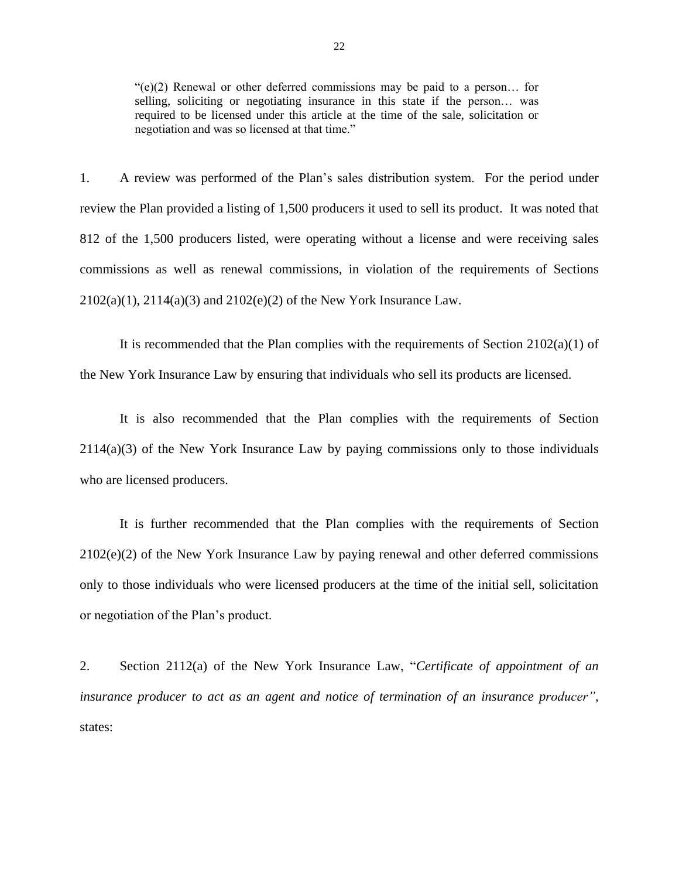$\degree$ (e)(2) Renewal or other deferred commissions may be paid to a person... for selling, soliciting or negotiating insurance in this state if the person… was required to be licensed under this article at the time of the sale, solicitation or negotiation and was so licensed at that time."

 1. A review was performed of the Plan's sales distribution system. For the period under review the Plan provided a listing of 1,500 producers it used to sell its product. It was noted that 812 of the 1,500 producers listed, were operating without a license and were receiving sales commissions as well as renewal commissions, in violation of the requirements of Sections  $2102(a)(1)$ ,  $2114(a)(3)$  and  $2102(e)(2)$  of the New York Insurance Law.

2102(a)(1), 2114(a)(3) and 2102(e)(2) of the New York Insurance Law.<br>It is recommended that the Plan complies with the requirements of Section 2102(a)(1) of the New York Insurance Law by ensuring that individuals who sell its products are licensed.

 2114(a)(3) of the New York Insurance Law by paying commissions only to those individuals who are licensed producers. It is also recommended that the Plan complies with the requirements of Section

 2102(e)(2) of the New York Insurance Law by paying renewal and other deferred commissions It is further recommended that the Plan complies with the requirements of Section only to those individuals who were licensed producers at the time of the initial sell, solicitation or negotiation of the Plan's product.

 2. Section 2112(a) of the New York Insurance Law, "*Certificate of appointment of an insurance producer to act as an agent and notice of termination of an insurance producer"*, states: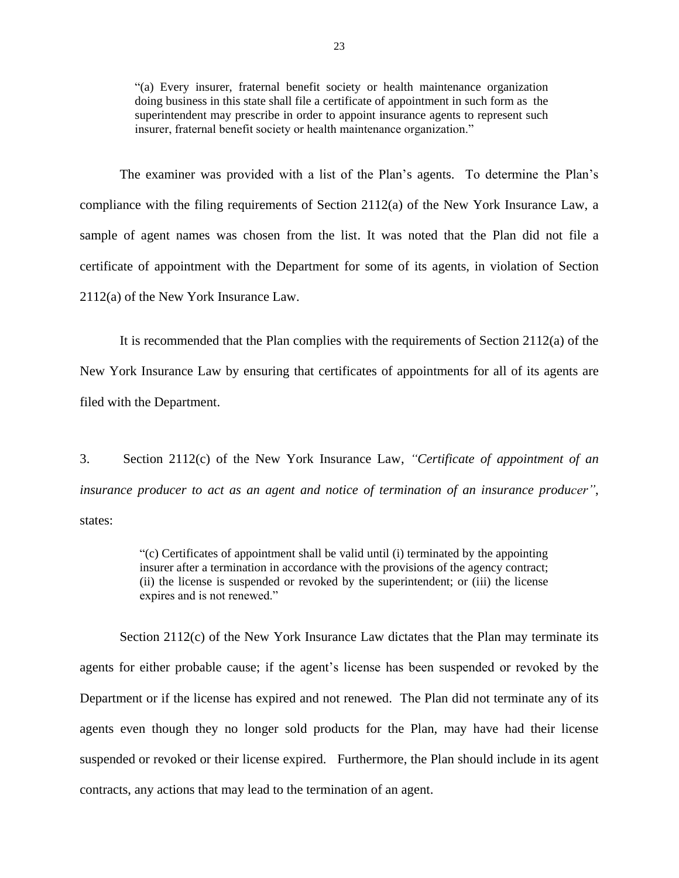"(a) Every insurer, fraternal benefit society or health maintenance organization doing business in this state shall file a certificate of appointment in such form as the superintendent may prescribe in order to appoint insurance agents to represent such insurer, fraternal benefit society or health maintenance organization."

 The examiner was provided with a list of the Plan's agents. To determine the Plan's compliance with the filing requirements of Section 2112(a) of the New York Insurance Law, a sample of agent names was chosen from the list. It was noted that the Plan did not file a certificate of appointment with the Department for some of its agents, in violation of Section 2112(a) of the New York Insurance Law.

 New York Insurance Law by ensuring that certificates of appointments for all of its agents are filed with the Department. It is recommended that the Plan complies with the requirements of Section  $2112(a)$  of the

 $\overline{3}$ . Section 2112(c) of the New York Insurance Law, *"Certificate of appointment of an insurance producer to act as an agent and notice of termination of an insurance producer"*, states:

> "(c) Certificates of appointment shall be valid until (i) terminated by the appointing (ii) the license is suspended or revoked by the superintendent; or (iii) the license insurer after a termination in accordance with the provisions of the agency contract; expires and is not renewed."

Section 2112(c) of the New York Insurance Law dictates that the Plan may terminate its Department or if the license has expired and not renewed. The Plan did not terminate any of its suspended or revoked or their license expired. Furthermore, the Plan should include in its agent contracts, any actions that may lead to the termination of an agent. agents for either probable cause; if the agent's license has been suspended or revoked by the agents even though they no longer sold products for the Plan, may have had their license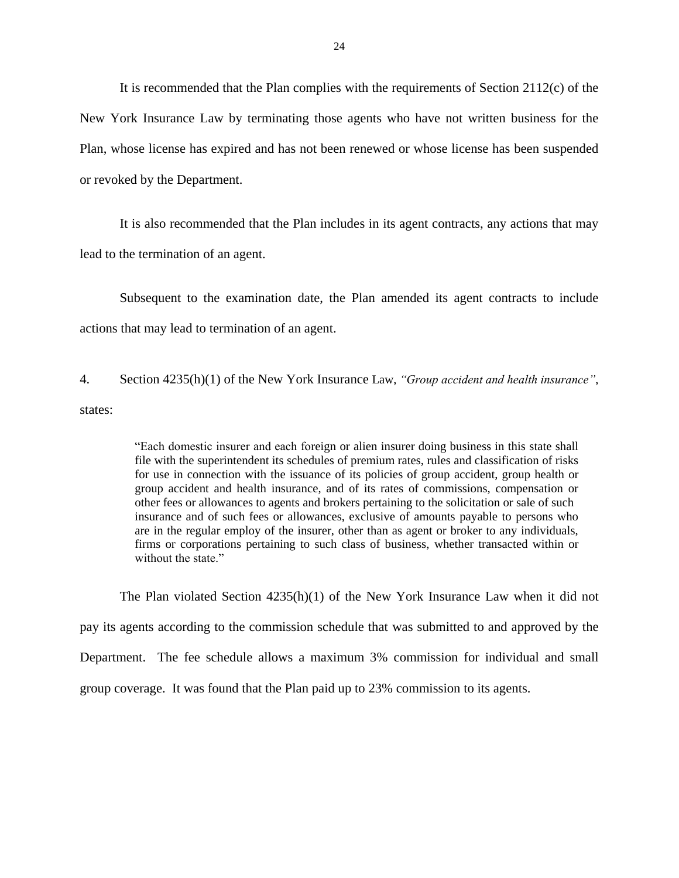It is recommended that the Plan complies with the requirements of Section 2112(c) of the New York Insurance Law by terminating those agents who have not written business for the Plan, whose license has expired and has not been renewed or whose license has been suspended or revoked by the Department.

It is also recommended that the Plan includes in its agent contracts, any actions that may lead to the termination of an agent.

 Subsequent to the examination date, the Plan amended its agent contracts to include actions that may lead to termination of an agent.

4. Section 4235(h)(1) of the New York Insurance Law, *"Group accident and health insurance"*, states:

> "Each domestic insurer and each foreign or alien insurer doing business in this state shall file with the superintendent its schedules of premium rates, rules and classification of risks for use in connection with the issuance of its policies of group accident, group health or group accident and health insurance, and of its rates of commissions, compensation or insurance and of such fees or allowances, exclusive of amounts payable to persons who are in the regular employ of the insurer, other than as agent or broker to any individuals, firms or corporations pertaining to such class of business, whether transacted within or other fees or allowances to agents and brokers pertaining to the solicitation or sale of such without the state."

 The Plan violated Section 4235(h)(1) of the New York Insurance Law when it did not pay its agents according to the commission schedule that was submitted to and approved by the group coverage. It was found that the Plan paid up to 23% commission to its agents. Department. The fee schedule allows a maximum 3% commission for individual and small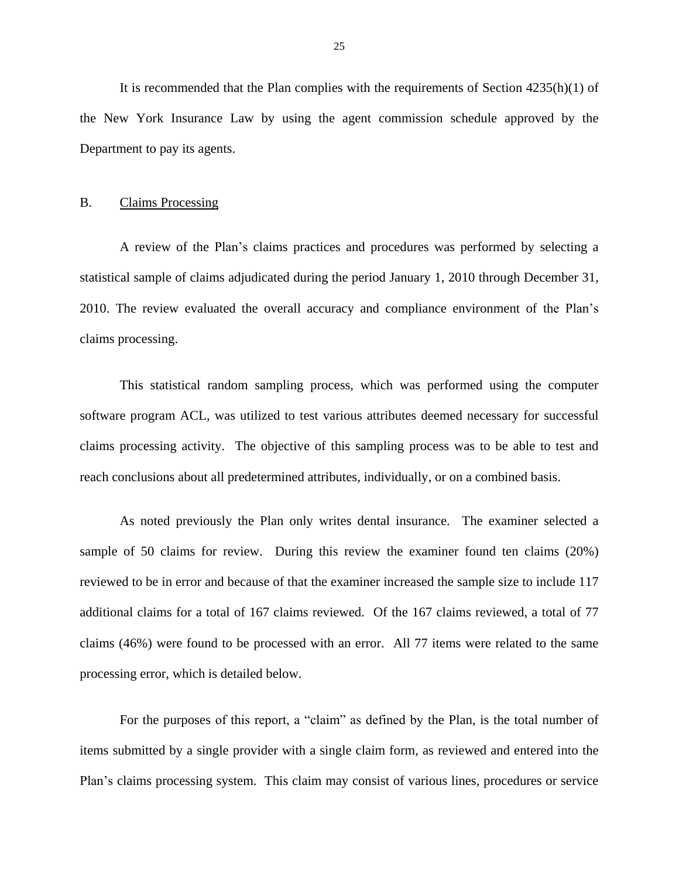<span id="page-26-0"></span> It is recommended that the Plan complies with the requirements of Section 4235(h)(1) of the New York Insurance Law by using the agent commission schedule approved by the Department to pay its agents.

### **Claims Processing**

B. Claims Processing<br>A review of the Plan's claims practices and procedures was performed by selecting a statistical sample of claims adjudicated during the period January 1, 2010 through December 31, 2010. The review evaluated the overall accuracy and compliance environment of the Plan's claims processing.

 This statistical random sampling process, which was performed using the computer claims processing activity. The objective of this sampling process was to be able to test and software program ACL, was utilized to test various attributes deemed necessary for successful reach conclusions about all predetermined attributes, individually, or on a combined basis.

 As noted previously the Plan only writes dental insurance. The examiner selected a sample of 50 claims for review. During this review the examiner found ten claims (20%) reviewed to be in error and because of that the examiner increased the sample size to include 117 additional claims for a total of 167 claims reviewed. Of the 167 claims reviewed, a total of 77 claims (46%) were found to be processed with an error. All 77 items were related to the same processing error, which is detailed below. processing error, which is detailed below.<br>For the purposes of this report, a "claim" as defined by the Plan, is the total number of

 Plan's claims processing system. This claim may consist of various lines, procedures or service items submitted by a single provider with a single claim form, as reviewed and entered into the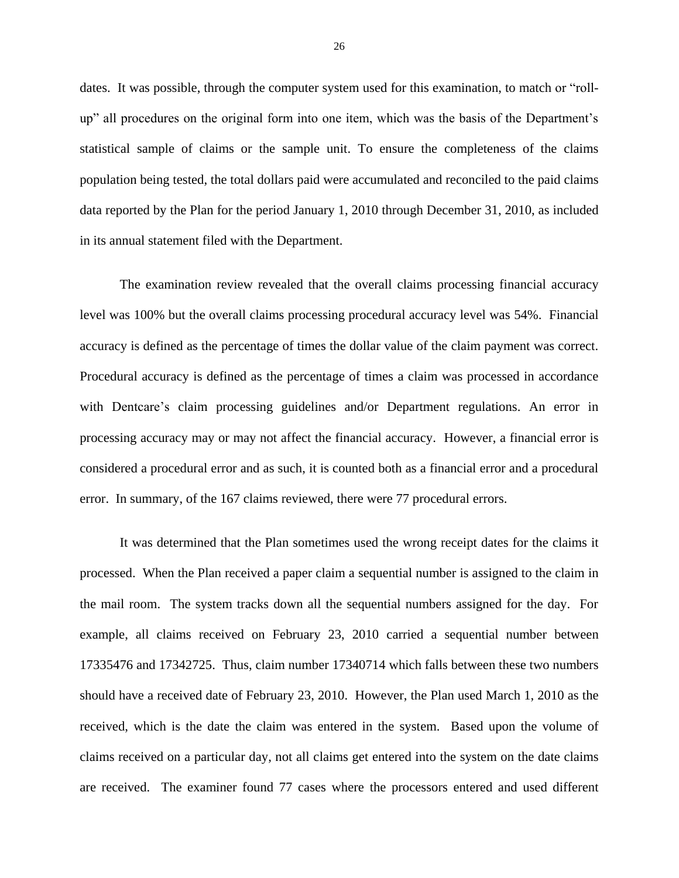dates. It was possible, through the computer system used for this examination, to match or "roll- up" all procedures on the original form into one item, which was the basis of the Department's statistical sample of claims or the sample unit. To ensure the completeness of the claims population being tested, the total dollars paid were accumulated and reconciled to the paid claims data reported by the Plan for the period January 1, 2010 through December 31, 2010, as included in its annual statement filed with the Department.

 The examination review revealed that the overall claims processing financial accuracy level was 100% but the overall claims processing procedural accuracy level was 54%. Financial accuracy is defined as the percentage of times the dollar value of the claim payment was correct. Procedural accuracy is defined as the percentage of times a claim was processed in accordance with Dentcare's claim processing guidelines and/or Department regulations. An error in processing accuracy may or may not affect the financial accuracy. However, a financial error is error. In summary, of the 167 claims reviewed, there were 77 procedural errors. considered a procedural error and as such, it is counted both as a financial error and a procedural

 It was determined that the Plan sometimes used the wrong receipt dates for the claims it processed. When the Plan received a paper claim a sequential number is assigned to the claim in the mail room. The system tracks down all the sequential numbers assigned for the day. For example, all claims received on February 23, 2010 carried a sequential number between 17335476 and 17342725. Thus, claim number 17340714 which falls between these two numbers received, which is the date the claim was entered in the system. Based upon the volume of claims received on a particular day, not all claims get entered into the system on the date claims should have a received date of February 23, 2010. However, the Plan used March 1, 2010 as the are received. The examiner found 77 cases where the processors entered and used different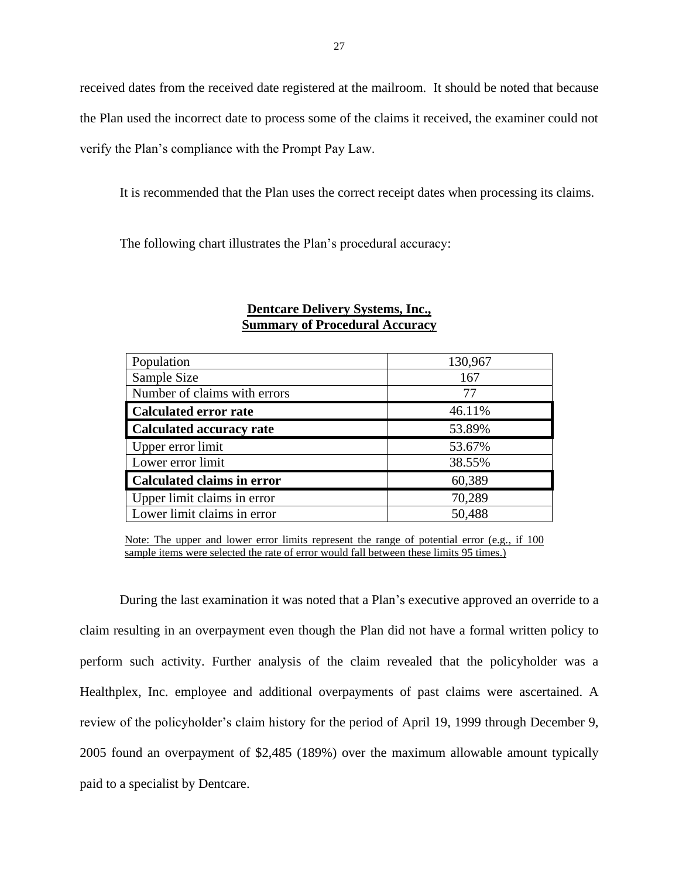received dates from the received date registered at the mailroom. It should be noted that because the Plan used the incorrect date to process some of the claims it received, the examiner could not verify the Plan's compliance with the Prompt Pay Law.

It is recommended that the Plan uses the correct receipt dates when processing its claims.

The following chart illustrates the Plan's procedural accuracy:

| Population                        | 130,967 |
|-----------------------------------|---------|
| Sample Size                       | 167     |
| Number of claims with errors      | 77      |
| <b>Calculated error rate</b>      | 46.11%  |
| Calculated accuracy rate          | 53.89%  |
| Upper error limit                 | 53.67%  |
| Lower error limit                 | 38.55%  |
| <b>Calculated claims in error</b> | 60,389  |
| Upper limit claims in error       | 70,289  |
| Lower limit claims in error       | 50,488  |

### **Dentcare Delivery Systems, Inc., Summary of Procedural Accuracy**

Note: The upper and lower error limits represent the range of potential error (e.g., if 100 sample items were selected the rate of error would fall between these limits 95 times.)

 During the last examination it was noted that a Plan's executive approved an override to a claim resulting in an overpayment even though the Plan did not have a formal written policy to perform such activity. Further analysis of the claim revealed that the policyholder was a Healthplex, Inc. employee and additional overpayments of past claims were ascertained. A review of the policyholder's claim history for the period of April 19, 1999 through December 9, 2005 found an overpayment of \$2,485 (189%) over the maximum allowable amount typically paid to a specialist by Dentcare.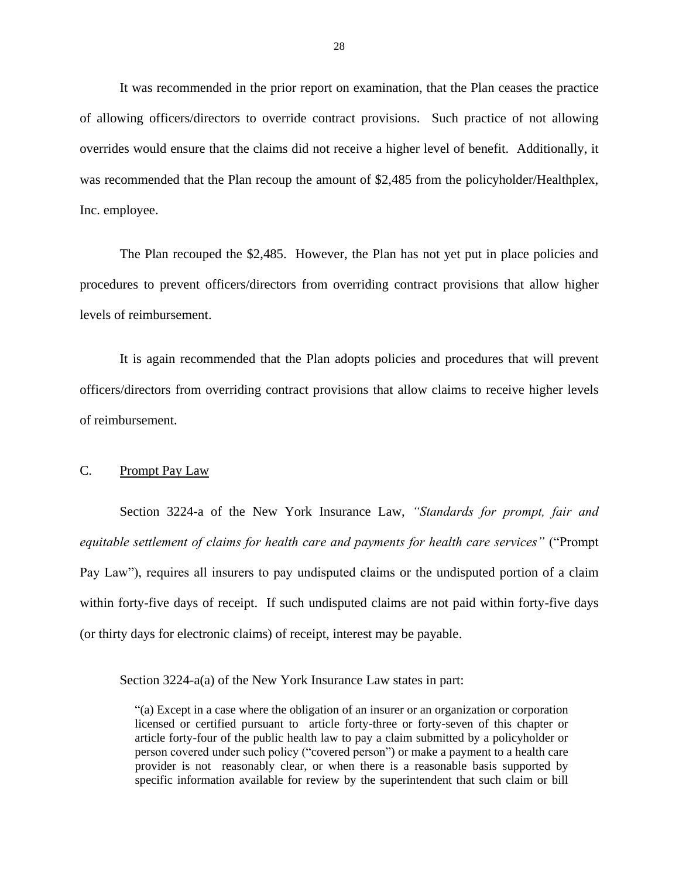<span id="page-29-0"></span> of allowing officers/directors to override contract provisions. Such practice of not allowing overrides would ensure that the claims did not receive a higher level of benefit. Additionally, it was recommended that the Plan recoup the amount of \$2,485 from the policyholder/Healthplex, It was recommended in the prior report on examination, that the Plan ceases the practice Inc. employee.

 The Plan recouped the \$2,485. However, the Plan has not yet put in place policies and procedures to prevent officers/directors from overriding contract provisions that allow higher levels of reimbursement.

 officers/directors from overriding contract provisions that allow claims to receive higher levels It is again recommended that the Plan adopts policies and procedures that will prevent of reimbursement.

### C. Prompt Pay Law

 Section 3224-a of the New York Insurance Law, *"Standards for prompt, fair and equitable settlement of claims for health care and payments for health care services"* ("Prompt Pay Law"), requires all insurers to pay undisputed claims or the undisputed portion of a claim within forty-five days of receipt. If such undisputed claims are not paid within forty-five days (or thirty days for electronic claims) of receipt, interest may be payable. Section 3224-a(a) of the New York Insurance Law states in part:

 licensed or certified pursuant to article forty-three or forty-seven of this chapter or article forty-four of the public health law to pay a claim submitted by a policyholder or provider is not reasonably clear, or when there is a reasonable basis supported by specific information available for review by the superintendent that such claim or bill "(a) Except in a case where the obligation of an insurer or an organization or corporation person covered under such policy ("covered person") or make a payment to a health care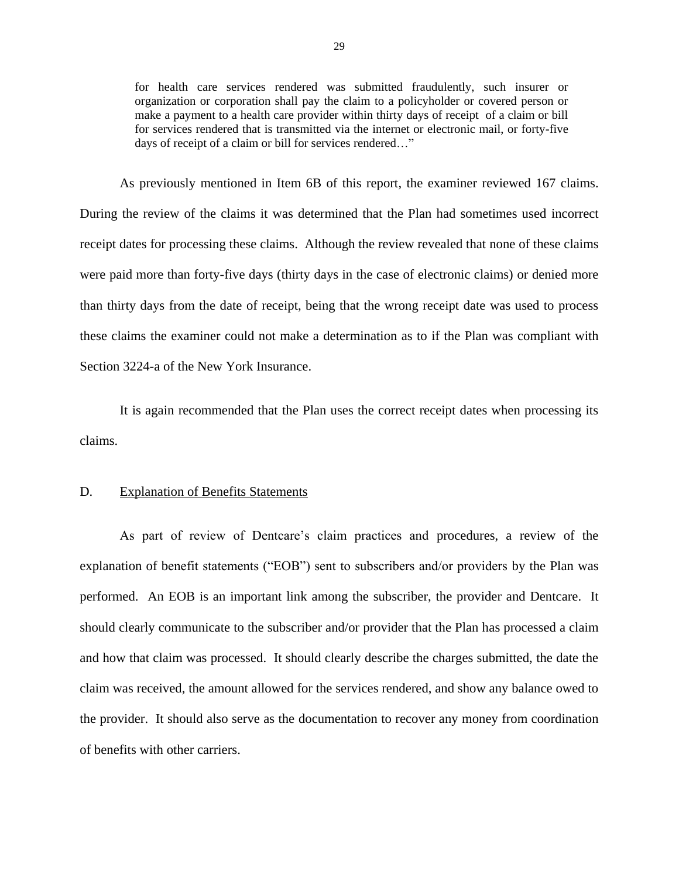<span id="page-30-0"></span> for health care services rendered was submitted fraudulently, such insurer or organization or corporation shall pay the claim to a policyholder or covered person or make a payment to a health care provider within thirty days of receipt of a claim or bill for services rendered that is transmitted via the internet or electronic mail, or forty-five days of receipt of a claim or bill for services rendered…"

 As previously mentioned in Item 6B of this report, the examiner reviewed 167 claims. During the review of the claims it was determined that the Plan had sometimes used incorrect receipt dates for processing these claims. Although the review revealed that none of these claims were paid more than forty-five days (thirty days in the case of electronic claims) or denied more than thirty days from the date of receipt, being that the wrong receipt date was used to process these claims the examiner could not make a determination as to if the Plan was compliant with Section 3224-a of the New York Insurance.

 It is again recommended that the Plan uses the correct receipt dates when processing its claims.

### D. Explanation of Benefits Statements

 As part of review of Dentcare's claim practices and procedures, a review of the explanation of benefit statements ("EOB") sent to subscribers and/or providers by the Plan was performed. An EOB is an important link among the subscriber, the provider and Dentcare. It and how that claim was processed. It should clearly describe the charges submitted, the date the claim was received, the amount allowed for the services rendered, and show any balance owed to the provider. It should also serve as the documentation to recover any money from coordination of benefits with other carriers. should clearly communicate to the subscriber and/or provider that the Plan has processed a claim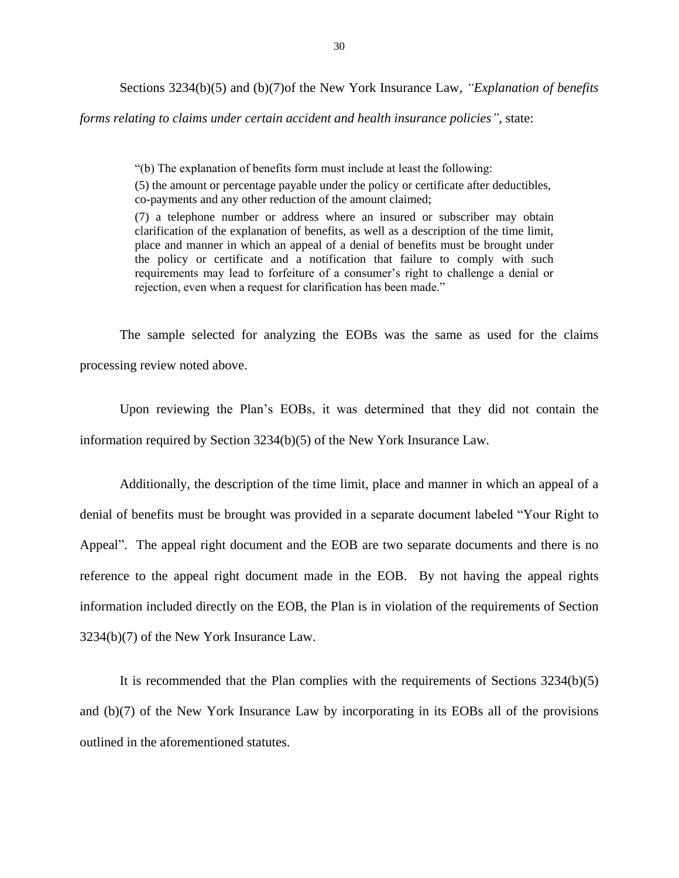Sections 3234(b)(5) and (b)(7)of the New York Insurance Law, *"Explanation of benefits* 

*forms relating to claims under certain accident and health insurance policies"*, state:

"(b) The explanation of benefits form must include at least the following:

(5) the amount or percentage payable under the policy or certificate after deductibles, co-payments and any other reduction of the amount claimed;

 (7) a telephone number or address where an insured or subscriber may obtain clarification of the explanation of benefits, as well as a description of the time limit, place and manner in which an appeal of a denial of benefits must be brought under the policy or certificate and a notification that failure to comply with such requirements may lead to forfeiture of a consumer's right to challenge a denial or rejection, even when a request for clarification has been made."

 The sample selected for analyzing the EOBs was the same as used for the claims processing review noted above.

 Upon reviewing the Plan's EOBs, it was determined that they did not contain the information required by Section 3234(b)(5) of the New York Insurance Law.

 Additionally, the description of the time limit, place and manner in which an appeal of a denial of benefits must be brought was provided in a separate document labeled "Your Right to Appeal". The appeal right document and the EOB are two separate documents and there is no reference to the appeal right document made in the EOB. By not having the appeal rights information included directly on the EOB, the Plan is in violation of the requirements of Section 3234(b)(7) of the New York Insurance Law.

 $3234(b)(7)$  of the New York Insurance Law.<br>It is recommended that the Plan complies with the requirements of Sections 3234(b)(5) and (b)(7) of the New York Insurance Law by incorporating in its EOBs all of the provisions outlined in the aforementioned statutes.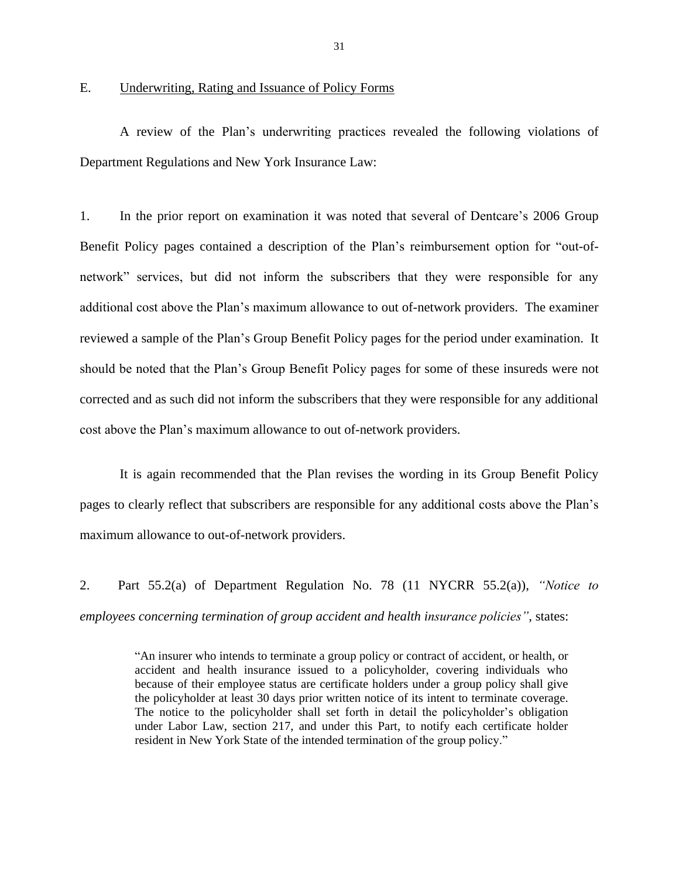### <span id="page-32-0"></span>E. Underwriting, Rating and Issuance of Policy Forms

 A review of the Plan's underwriting practices revealed the following violations of Department Regulations and New York Insurance Law: Department Regulations and New York Insurance Law:<br>1. In the prior report on examination it was noted that several of Dentcare's 2006 Group

 Benefit Policy pages contained a description of the Plan's reimbursement option for "out-of- network" services, but did not inform the subscribers that they were responsible for any additional cost above the Plan's maximum allowance to out of-network providers. The examiner reviewed a sample of the Plan's Group Benefit Policy pages for the period under examination. It should be noted that the Plan's Group Benefit Policy pages for some of these insureds were not corrected and as such did not inform the subscribers that they were responsible for any additional cost above the Plan's maximum allowance to out of-network providers.

 pages to clearly reflect that subscribers are responsible for any additional costs above the Plan's It is again recommended that the Plan revises the wording in its Group Benefit Policy maximum allowance to out-of-network providers.

 2. Part 55.2(a) of Department Regulation No. 78 (11 NYCRR 55.2(a)), *"Notice to employees concerning termination of group accident and health insurance policies"*, states:

 "An insurer who intends to terminate a group policy or contract of accident, or health, or accident and health insurance issued to a policyholder, covering individuals who the policyholder at least 30 days prior written notice of its intent to terminate coverage. The notice to the policyholder shall set forth in detail the policyholder's obligation under Labor Law, section 217, and under this Part, to notify each certificate holder because of their employee status are certificate holders under a group policy shall give resident in New York State of the intended termination of the group policy."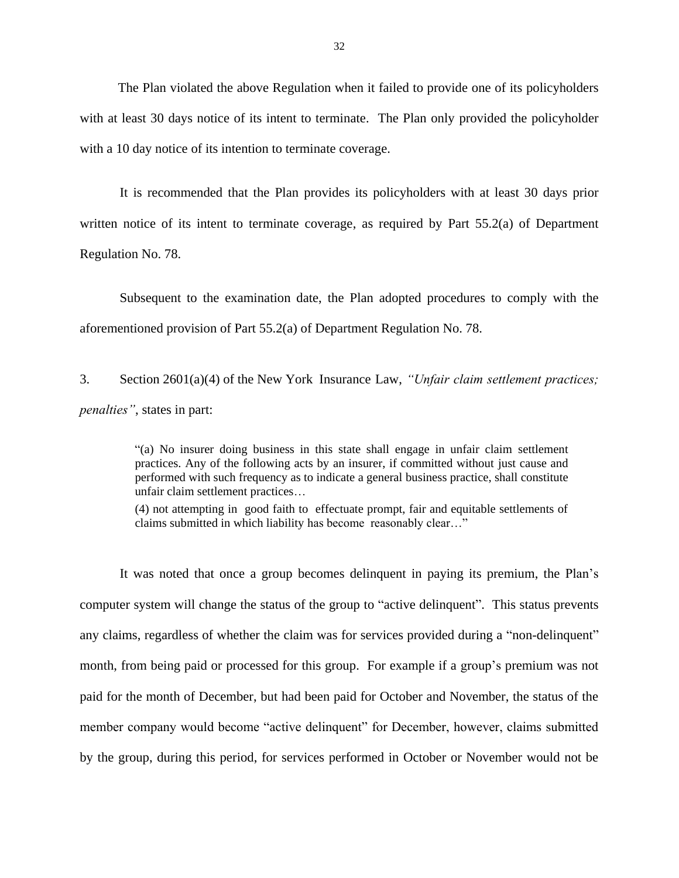with at least 30 days notice of its intent to terminate. The Plan only provided the policyholder with a 10 day notice of its intention to terminate coverage. The Plan violated the above Regulation when it failed to provide one of its policyholders

 It is recommended that the Plan provides its policyholders with at least 30 days prior written notice of its intent to terminate coverage, as required by Part 55.2(a) of Department Regulation No. 78.

 Subsequent to the examination date, the Plan adopted procedures to comply with the aforementioned provision of Part 55.2(a) of Department Regulation No. 78.

3. Section 2601(a)(4) of the New York Insurance Law, *"Unfair claim settlement practices; penalties"*, states in part:

> "(a) No insurer doing business in this state shall engage in unfair claim settlement practices. Any of the following acts by an insurer, if committed without just cause and performed with such frequency as to indicate a general business practice, shall constitute unfair claim settlement practices…

> (4) not attempting in good faith to effectuate prompt, fair and equitable settlements of claims submitted in which liability has become reasonably clear…"

 computer system will change the status of the group to "active delinquent". This status prevents any claims, regardless of whether the claim was for services provided during a "non-delinquent" month, from being paid or processed for this group. For example if a group's premium was not paid for the month of December, but had been paid for October and November, the status of the by the group, during this period, for services performed in October or November would not be It was noted that once a group becomes delinquent in paying its premium, the Plan's member company would become "active delinquent" for December, however, claims submitted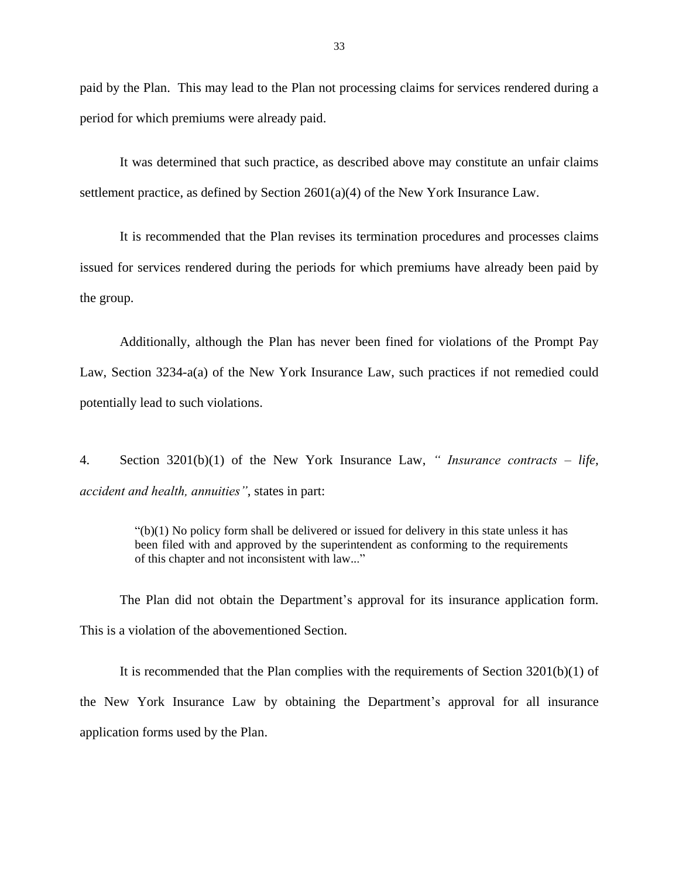paid by the Plan. This may lead to the Plan not processing claims for services rendered during a period for which premiums were already paid.

It was determined that such practice, as described above may constitute an unfair claims settlement practice, as defined by Section 2601(a)(4) of the New York Insurance Law.

It is recommended that the Plan revises its termination procedures and processes claims issued for services rendered during the periods for which premiums have already been paid by the group.

 Additionally, although the Plan has never been fined for violations of the Prompt Pay Law, Section 3234-a(a) of the New York Insurance Law, such practices if not remedied could potentially lead to such violations.

 $\overline{4}$ . Section 3201(b)(1) of the New York Insurance Law, *" Insurance contracts – life, accident and health, annuities"*, states in part:

> been filed with and approved by the superintendent as conforming to the requirements  $"(b)(1)$  No policy form shall be delivered or issued for delivery in this state unless it has of this chapter and not inconsistent with law..."

 The Plan did not obtain the Department's approval for its insurance application form. This is a violation of the abovementioned Section.

 the New York Insurance Law by obtaining the Department's approval for all insurance application forms used by the Plan. It is recommended that the Plan complies with the requirements of Section 3201(b)(1) of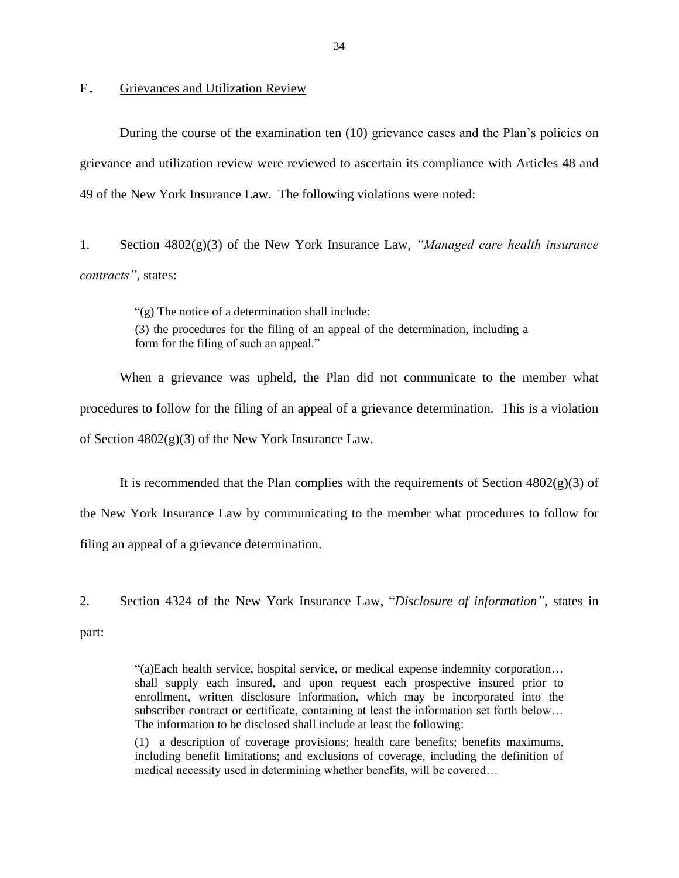### Grievances and Utilization Review

<span id="page-35-0"></span> grievance and utilization review were reviewed to ascertain its compliance with Articles 48 and 49 of the New York Insurance Law. The following violations were noted: F. Grievances and Utilization Review<br>During the course of the examination ten (10) grievance cases and the Plan's policies on

 1. Section 4802(g)(3) of the New York Insurance Law, *"Managed care health insurance contracts"*, states:

> (3) the procedures for the filing of an appeal of the determination, including a "(g) The notice of a determination shall include: form for the filing of such an appeal."

 When a grievance was upheld, the Plan did not communicate to the member what procedures to follow for the filing of an appeal of a grievance determination. This is a violation of Section 4802(g)(3) of the New York Insurance Law.

 the New York Insurance Law by communicating to the member what procedures to follow for filing an appeal of a grievance determination. It is recommended that the Plan complies with the requirements of Section  $4802(g)(3)$  of

 2. Section 4324 of the New York Insurance Law, "*Disclosure of information"*, states in part:

> "(a)Each health service, hospital service, or medical expense indemnity corporation… shall supply each insured, and upon request each prospective insured prior to enrollment, written disclosure information, which may be incorporated into the subscriber contract or certificate, containing at least the information set forth below… The information to be disclosed shall include at least the following:

> (1) a description of coverage provisions; health care benefits; benefits maximums, including benefit limitations; and exclusions of coverage, including the definition of medical necessity used in determining whether benefits, will be covered…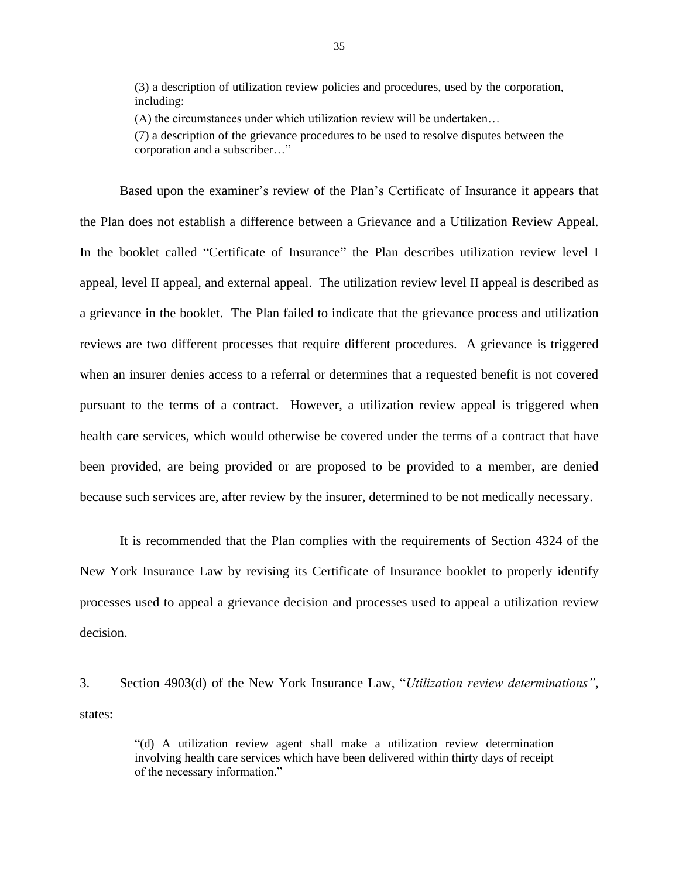(3) a description of utilization review policies and procedures, used by the corporation, including:

(A) the circumstances under which utilization review will be undertaken…

 (7) a description of the grievance procedures to be used to resolve disputes between the corporation and a subscriber…"

 Based upon the examiner's review of the Plan's Certificate of Insurance it appears that the Plan does not establish a difference between a Grievance and a Utilization Review Appeal. In the booklet called "Certificate of Insurance" the Plan describes utilization review level I appeal, level II appeal, and external appeal. The utilization review level II appeal is described as a grievance in the booklet. The Plan failed to indicate that the grievance process and utilization reviews are two different processes that require different procedures. A grievance is triggered pursuant to the terms of a contract. However, a utilization review appeal is triggered when health care services, which would otherwise be covered under the terms of a contract that have been provided, are being provided or are proposed to be provided to a member, are denied because such services are, after review by the insurer, determined to be not medically necessary. It is recommended that the Plan complies with the requirements of Section 4324 of the when an insurer denies access to a referral or determines that a requested benefit is not covered

 processes used to appeal a grievance decision and processes used to appeal a utilization review decision New York Insurance Law by revising its Certificate of Insurance booklet to properly identify

 $3.$ Section 4903(d) of the New York Insurance Law, "*Utilization review determinations*", states:

> involving health care services which have been delivered within thirty days of receipt "(d) A utilization review agent shall make a utilization review determination of the necessary information."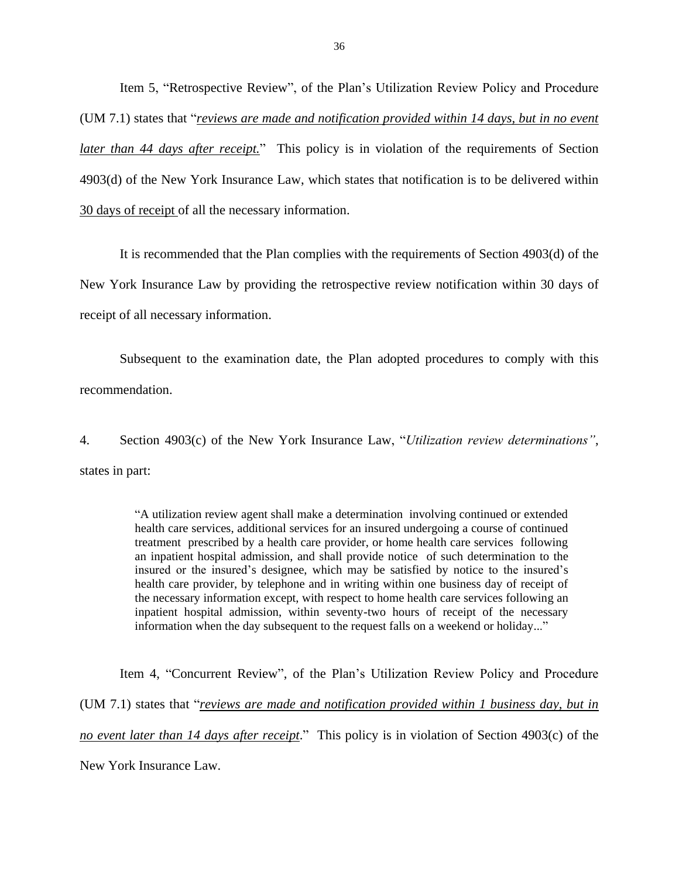*later than 44 days after receipt.*" This policy is in violation of the requirements of Section 4903(d) of the New York Insurance Law, which states that notification is to be delivered within Item 5, "Retrospective Review", of the Plan's Utilization Review Policy and Procedure (UM 7.1) states that "*reviews are made and notification provided within 14 days, but in no event*  30 days of receipt of all the necessary information.

 New York Insurance Law by providing the retrospective review notification within 30 days of It is recommended that the Plan complies with the requirements of Section 4903(d) of the receipt of all necessary information.

 Subsequent to the examination date, the Plan adopted procedures to comply with this recommendation.

 4. Section 4903(c) of the New York Insurance Law, "*Utilization review determinations"*, states in part:

> "A utilization review agent shall make a determination involving continued or extended treatment prescribed by a health care provider, or home health care services following an inpatient hospital admission, and shall provide notice of such determination to the insured or the insured's designee, which may be satisfied by notice to the insured's health care provider, by telephone and in writing within one business day of receipt of the necessary information except, with respect to home health care services following an inpatient hospital admission, within seventy-two hours of receipt of the necessary information when the day subsequent to the request falls on a weekend or holiday..." health care services, additional services for an insured undergoing a course of continued

 Item 4, "Concurrent Review", of the Plan's Utilization Review Policy and Procedure  (UM 7.1) states that "*reviews are made and notification provided within 1 business day, but in no event later than 14 days after receipt*." This policy is in violation of Section 4903(c) of the New York Insurance Law.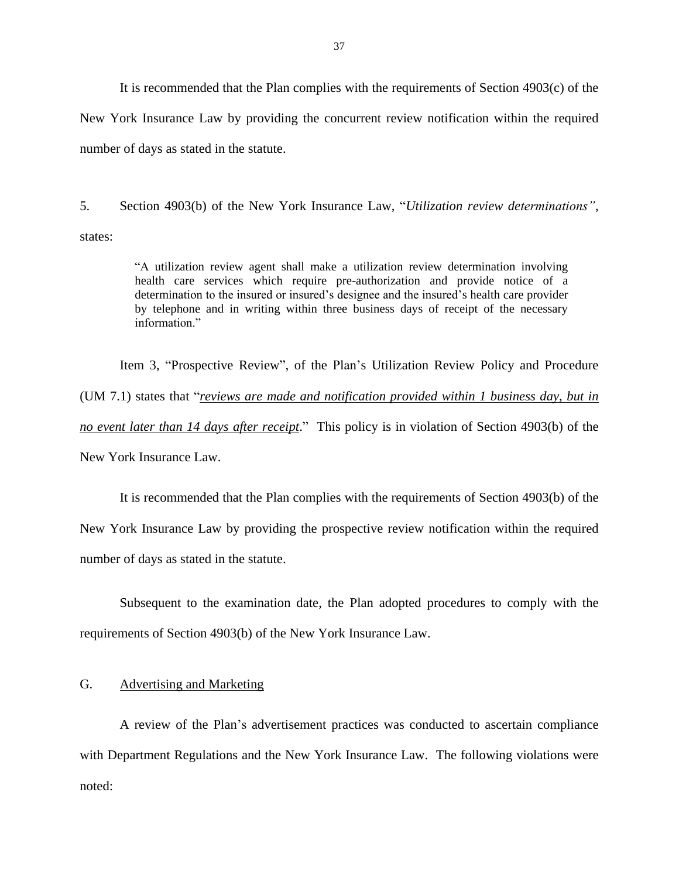<span id="page-38-0"></span> It is recommended that the Plan complies with the requirements of Section 4903(c) of the New York Insurance Law by providing the concurrent review notification within the required number of days as stated in the statute.

5. states: states: "A utilization review agent shall make a utilization review determination involving 5. Section 4903(b) of the New York Insurance Law, "*Utilization review determinations"*,

 health care services which require pre-authorization and provide notice of a determination to the insured or insured's designee and the insured's health care provider by telephone and in writing within three business days of receipt of the necessary information"

 (UM 7.1) states that "*reviews are made and notification provided within 1 business day, but in no event later than 14 days after receipt*." This policy is in violation of Section 4903(b) of the Item 3, "Prospective Review", of the Plan's Utilization Review Policy and Procedure New York Insurance Law.

 New York Insurance Law by providing the prospective review notification within the required It is recommended that the Plan complies with the requirements of Section 4903(b) of the number of days as stated in the statute.

 Subsequent to the examination date, the Plan adopted procedures to comply with the requirements of Section 4903(b) of the New York Insurance Law.

### G. Advertising and Marketing

 A review of the Plan's advertisement practices was conducted to ascertain compliance with Department Regulations and the New York Insurance Law. The following violations were noted: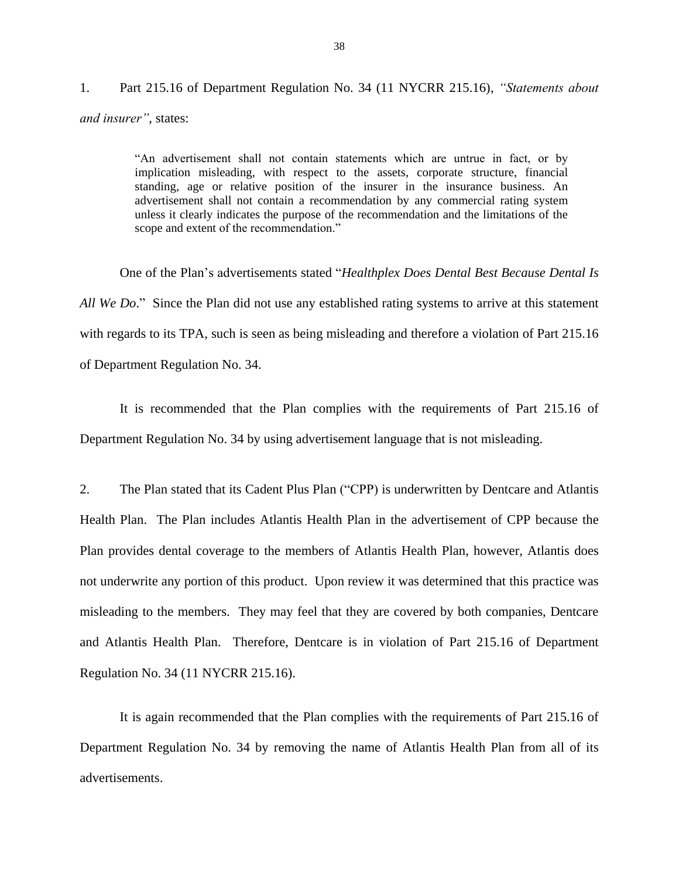$1<sub>1</sub>$  *and insurer"*, states: 1. Part 215.16 of Department Regulation No. 34 (11 NYCRR 215.16), *"Statements about* 

> "An advertisement shall not contain statements which are untrue in fact, or by implication misleading, with respect to the assets, corporate structure, financial standing, age or relative position of the insurer in the insurance business. An advertisement shall not contain a recommendation by any commercial rating system unless it clearly indicates the purpose of the recommendation and the limitations of the scope and extent of the recommendation."

 One of the Plan's advertisements stated "*Healthplex Does Dental Best Because Dental Is All We Do*." Since the Plan did not use any established rating systems to arrive at this statement with regards to its TPA, such is seen as being misleading and therefore a violation of Part 215.16 of Department Regulation No. 34. of Department Regulation No. 34.<br>It is recommended that the Plan complies with the requirements of Part 215.16 of

Department Regulation No. 34 by using advertisement language that is not misleading.

 2. The Plan stated that its Cadent Plus Plan ("CPP) is underwritten by Dentcare and Atlantis Health Plan. The Plan includes Atlantis Health Plan in the advertisement of CPP because the not underwrite any portion of this product. Upon review it was determined that this practice was misleading to the members. They may feel that they are covered by both companies, Dentcare and Atlantis Health Plan. Therefore, Dentcare is in violation of Part 215.16 of Department Regulation No. 34 (11 NYCRR 215.16). Regulation No. 34 (11 NYCRR 215.16).<br>It is again recommended that the Plan complies with the requirements of Part 215.16 of Plan provides dental coverage to the members of Atlantis Health Plan, however, Atlantis does

 Department Regulation No. 34 by removing the name of Atlantis Health Plan from all of its advertisements.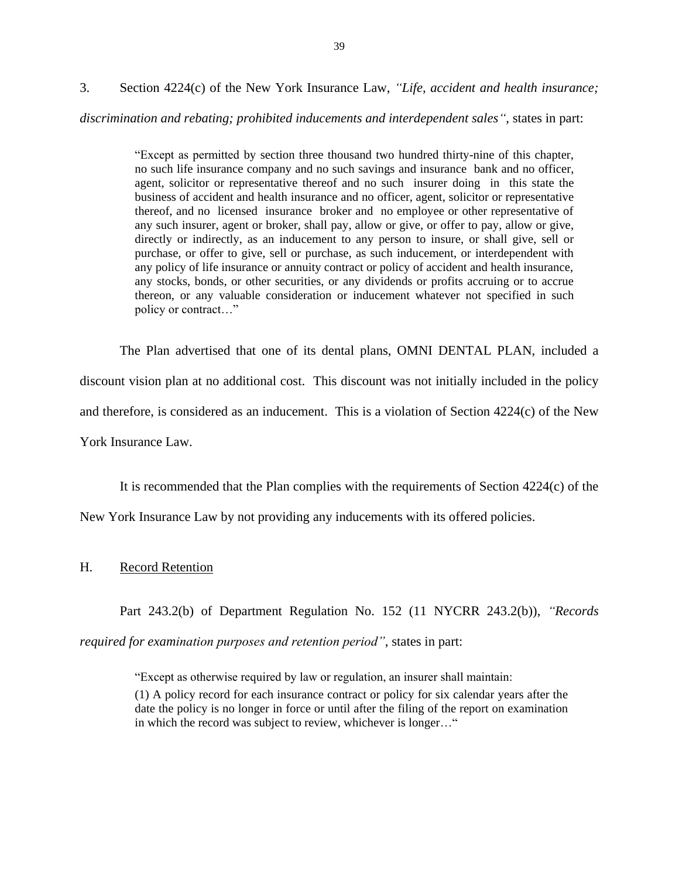3. Section 4224(c) of the New York Insurance Law, *"Life, accident and health insurance;* 

### *discrimination and rebating; prohibited inducements and interdependent sales"*, states in part:

 "Except as permitted by section three thousand two hundred thirty-nine of this chapter, no such life insurance company and no such savings and insurance bank and no officer, agent, solicitor or representative thereof and no such insurer doing in this state the business of accident and health insurance and no officer, agent, solicitor or representative thereof, and no licensed insurance broker and no employee or other representative of any such insurer, agent or broker, shall pay, allow or give, or offer to pay, allow or give, directly or indirectly, as an inducement to any person to insure, or shall give, sell or purchase, or offer to give, sell or purchase, as such inducement, or interdependent with any policy of life insurance or annuity contract or policy of accident and health insurance, any stocks, bonds, or other securities, or any dividends or profits accruing or to accrue thereon, or any valuable consideration or inducement whatever not specified in such policy or contract…"

 The Plan advertised that one of its dental plans, OMNI DENTAL PLAN, included a discount vision plan at no additional cost. This discount was not initially included in the policy and therefore, is considered as an inducement. This is a violation of Section 4224(c) of the New York Insurance Law.

 It is recommended that the Plan complies with the requirements of Section 4224(c) of the New York Insurance Law by not providing any inducements with its offered policies.

### H. Record Retention

Part 243.2(b) of Department Regulation No. 152 (11 NYCRR 243.2(b)), *"Records* 

*required for examination purposes and retention period"*, states in part:

 (1) A policy record for each insurance contract or policy for six calendar years after the date the policy is no longer in force or until after the filing of the report on examination "Except as otherwise required by law or regulation, an insurer shall maintain: in which the record was subject to review, whichever is longer…"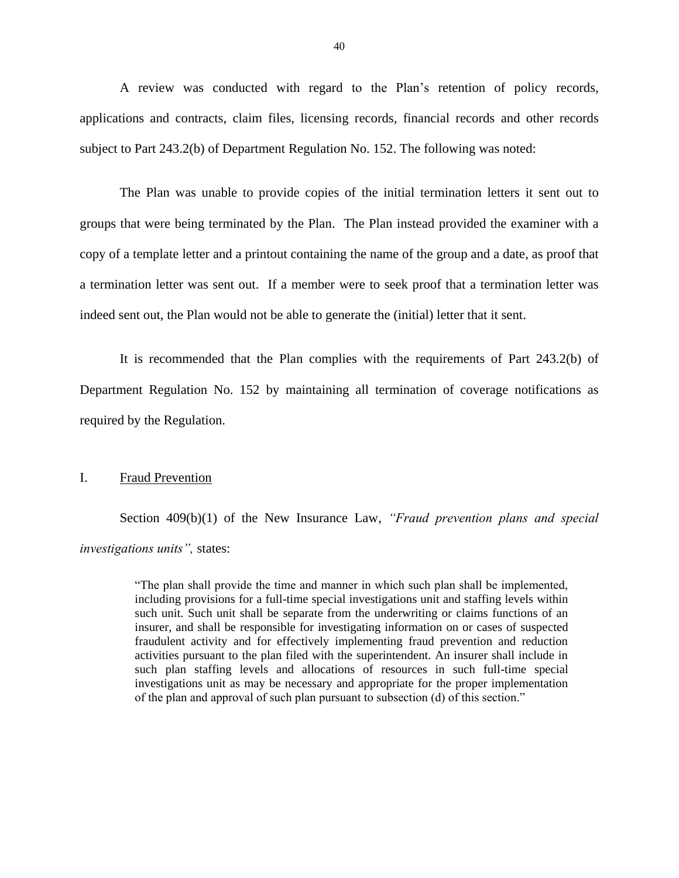applications and contracts, claim files, licensing records, financial records and other records subject to Part 243.2(b) of Department Regulation No. 152. The following was noted: A review was conducted with regard to the Plan's retention of policy records,

 The Plan was unable to provide copies of the initial termination letters it sent out to groups that were being terminated by the Plan. The Plan instead provided the examiner with a copy of a template letter and a printout containing the name of the group and a date, as proof that a termination letter was sent out. If a member were to seek proof that a termination letter was indeed sent out, the Plan would not be able to generate the (initial) letter that it sent.

 It is recommended that the Plan complies with the requirements of Part 243.2(b) of Department Regulation No. 152 by maintaining all termination of coverage notifications as required by the Regulation.

### I. Fraud Prevention

Section 409(b)(1) of the New Insurance Law, *"Fraud prevention plans and special investigations units",* states:

> "The plan shall provide the time and manner in which such plan shall be implemented, such unit. Such unit shall be separate from the underwriting or claims functions of an insurer, and shall be responsible for investigating information on or cases of suspected fraudulent activity and for effectively implementing fraud prevention and reduction activities pursuant to the plan filed with the superintendent. An insurer shall include in such plan staffing levels and allocations of resources in such full-time special investigations unit as may be necessary and appropriate for the proper implementation including provisions for a full-time special investigations unit and staffing levels within of the plan and approval of such plan pursuant to subsection (d) of this section."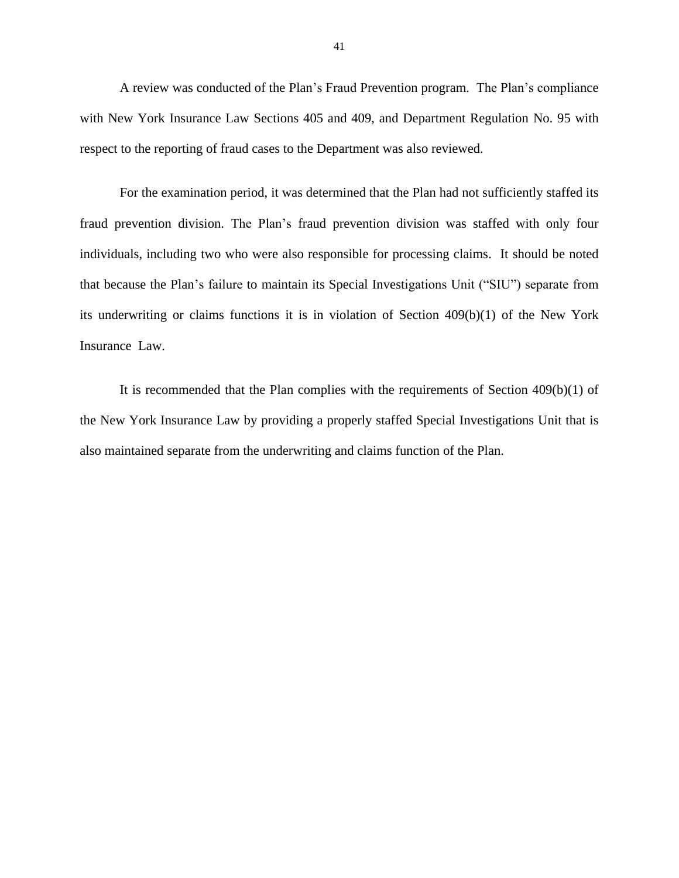A review was conducted of the Plan's Fraud Prevention program. The Plan's compliance with New York Insurance Law Sections 405 and 409, and Department Regulation No. 95 with respect to the reporting of fraud cases to the Department was also reviewed.

 For the examination period, it was determined that the Plan had not sufficiently staffed its fraud prevention division. The Plan's fraud prevention division was staffed with only four individuals, including two who were also responsible for processing claims. It should be noted that because the Plan's failure to maintain its Special Investigations Unit ("SIU") separate from its underwriting or claims functions it is in violation of Section 409(b)(1) of the New York Insurance Law.

 It is recommended that the Plan complies with the requirements of Section 409(b)(1) of the New York Insurance Law by providing a properly staffed Special Investigations Unit that is also maintained separate from the underwriting and claims function of the Plan.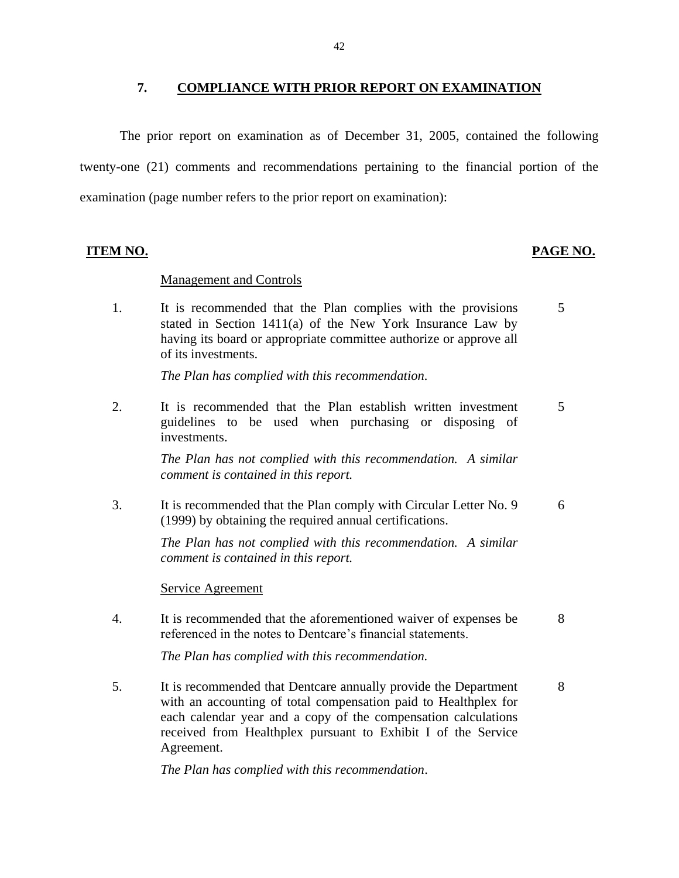### **7. COMPLIANCE WITH PRIOR REPORT ON EXAMINATION**

The prior report on examination as of December 31, 2005, contained the following twenty-one (21) comments and recommendations pertaining to the financial portion of the examination (page number refers to the prior report on examination):

### **ITEM NO. PAGE NO.**

### Management and Controls

 stated in Section 1411(a) of the New York Insurance Law by 1. It is recommended that the Plan complies with the provisions 5 having its board or appropriate committee authorize or approve all of its investments.

*The Plan has complied with this recommendation.* 

2. It is recommended that the Plan establish written investment 5 guidelines to be used when purchasing or disposing of investments.

> *The Plan has not complied with this recommendation. A similar comment is contained in this report.*

3. It is recommended that the Plan comply with Circular Letter No. 9 6 (1999) by obtaining the required annual certifications.

> *The Plan has not complied with this recommendation. A similar comment is contained in this report.*

### Service Agreement

4. It is recommended that the aforementioned waiver of expenses be 8 referenced in the notes to Dentcare's financial statements.

*The Plan has complied with this recommendation.* 

5. It is recommended that Dentcare annually provide the Department 8 with an accounting of total compensation paid to Healthplex for each calendar year and a copy of the compensation calculations received from Healthplex pursuant to Exhibit I of the Service Agreement.

*The Plan has complied with this recommendation*.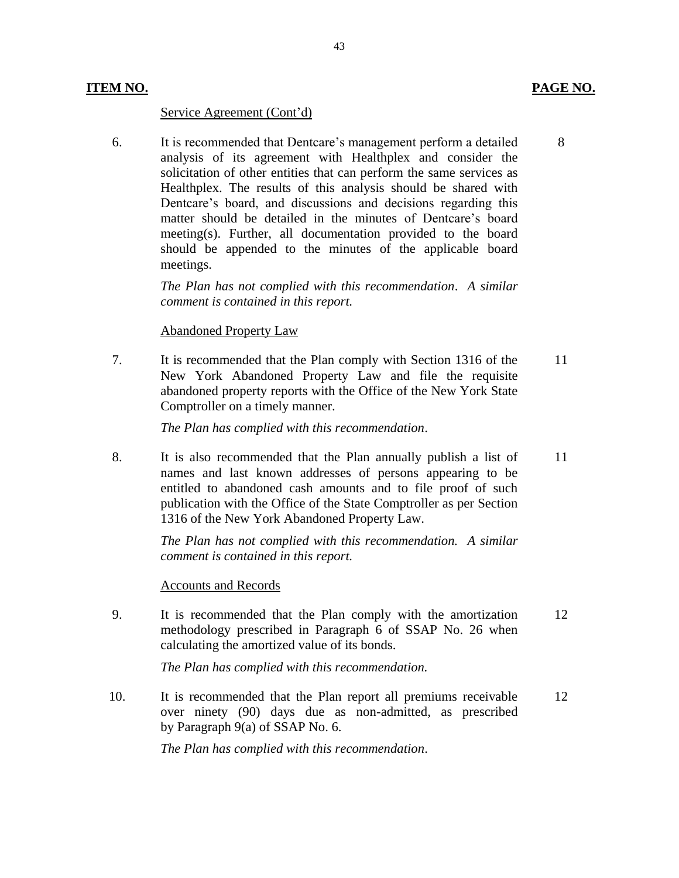### **ITEM NO. PAGE NO.**

### Service Agreement (Cont'd)

6. It is recommended that Dentcare's management perform a detailed 8 analysis of its agreement with Healthplex and consider the should be appended to the minutes of the applicable board solicitation of other entities that can perform the same services as Healthplex. The results of this analysis should be shared with Dentcare's board, and discussions and decisions regarding this matter should be detailed in the minutes of Dentcare's board meeting(s). Further, all documentation provided to the board meetings.

> *The Plan has not complied with this recommendation*. *A similar comment is contained in this report.*

### Abandoned Property Law

 7. It is recommended that the Plan comply with Section 1316 of the 11 abandoned property reports with the Office of the New York State New York Abandoned Property Law and file the requisite Comptroller on a timely manner.

*The Plan has complied with this recommendation*.

 names and last known addresses of persons appearing to be entitled to abandoned cash amounts and to file proof of such publication with the Office of the State Comptroller as per Section 8. It is also recommended that the Plan annually publish a list of 11 1316 of the New York Abandoned Property Law.

> *The Plan has not complied with this recommendation. A similar comment is contained in this report.*

### Accounts and Records

9. It is recommended that the Plan comply with the amortization 12 methodology prescribed in Paragraph 6 of SSAP No. 26 when calculating the amortized value of its bonds.

*The Plan has complied with this recommendation.* 

 over ninety (90) days due as non-admitted, as prescribed 10. It is recommended that the Plan report all premiums receivable 12 by Paragraph 9(a) of SSAP No. 6.

*The Plan has complied with this recommendation*.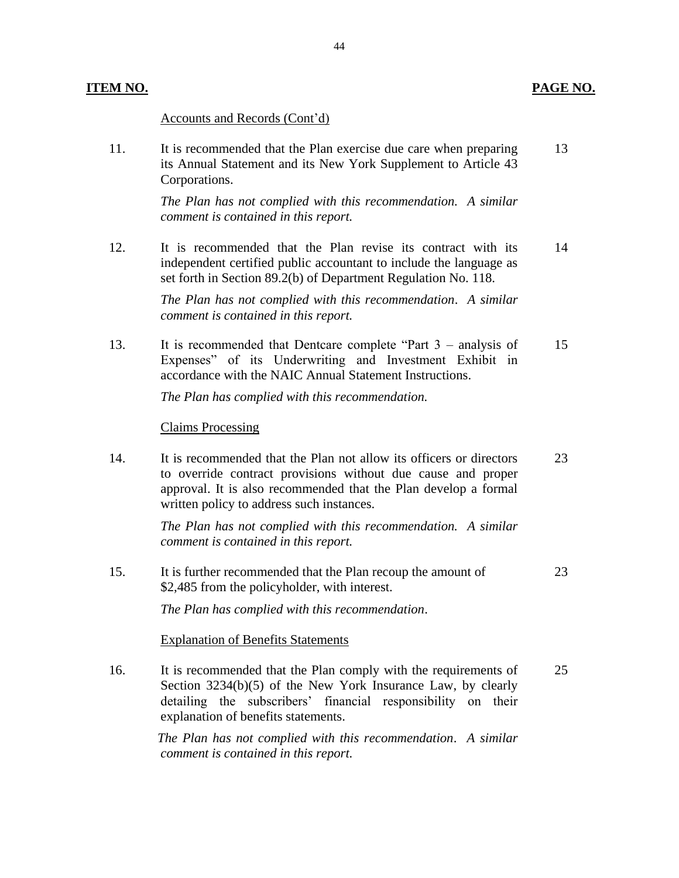### **ITEM NO. PAGE NO.**

Accounts and Records (Cont'd)

11. It is recommended that the Plan exercise due care when preparing 13 its Annual Statement and its New York Supplement to Article 43 Corporations.

> *The Plan has not complied with this recommendation. A similar comment is contained in this report.*

 12. It is recommended that the Plan revise its contract with its 14 independent certified public accountant to include the language as set forth in Section 89.2(b) of Department Regulation No. 118.

> *The Plan has not complied with this recommendation*. *A similar comment is contained in this report.*

 13. It is recommended that Dentcare complete "Part 3 – analysis of 15 Expenses" of its Underwriting and Investment Exhibit in accordance with the NAIC Annual Statement Instructions.

*The Plan has complied with this recommendation.* 

### Claims Processing

 to override contract provisions without due cause and proper approval. It is also recommended that the Plan develop a formal 14. It is recommended that the Plan not allow its officers or directors 23 written policy to address such instances.

> *The Plan has not complied with this recommendation. A similar comment is contained in this report.*

15. It is further recommended that the Plan recoup the amount of 23 \$2,485 from the policyholder, with interest.

*The Plan has complied with this recommendation*.

### Explanation of Benefits Statements

 Section 3234(b)(5) of the New York Insurance Law, by clearly 16. It is recommended that the Plan comply with the requirements of 25 detailing the subscribers' financial responsibility on their explanation of benefits statements.

> *The Plan has not complied with this recommendation*. *A similar comment is contained in this report.*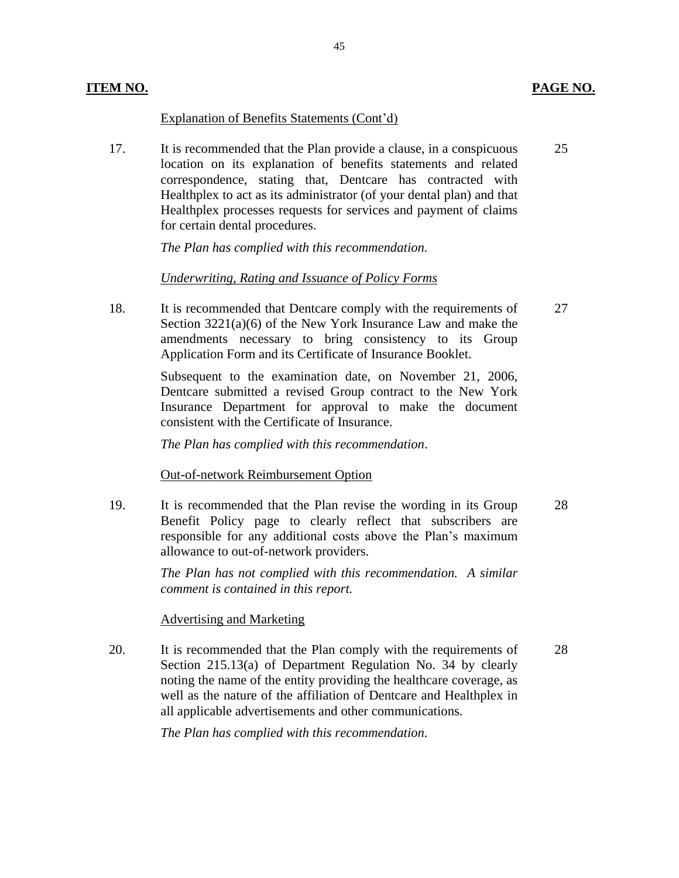### Explanation of Benefits Statements (Cont'd)

 location on its explanation of benefits statements and related correspondence, stating that, Dentcare has contracted with Healthplex to act as its administrator (of your dental plan) and that Healthplex processes requests for services and payment of claims 17. It is recommended that the Plan provide a clause, in a conspicuous for certain dental procedures. 25

45

*The Plan has complied with this recommendation.* 

### *Underwriting, Rating and Issuance of Policy Forms*

 amendments necessary to bring consistency to its Group 18. It is recommended that Dentcare comply with the requirements of Section 3221(a)(6) of the New York Insurance Law and make the Application Form and its Certificate of Insurance Booklet.  $27$ 

> Subsequent to the examination date, on November 21, 2006, Dentcare submitted a revised Group contract to the New York Insurance Department for approval to make the document consistent with the Certificate of Insurance.

*The Plan has complied with this recommendation*.

### Out-of-network Reimbursement Option

 Benefit Policy page to clearly reflect that subscribers are responsible for any additional costs above the Plan's maximum 19. It is recommended that the Plan revise the wording in its Group allowance to out-of-network providers. 28

> *The Plan has not complied with this recommendation. A similar comment is contained in this report.*

### Advertising and Marketing

 Section 215.13(a) of Department Regulation No. 34 by clearly noting the name of the entity providing the healthcare coverage, as well as the nature of the affiliation of Dentcare and Healthplex in 20. It is recommended that the Plan comply with the requirements of all applicable advertisements and other communications.

*The Plan has complied with this recommendation.* 

28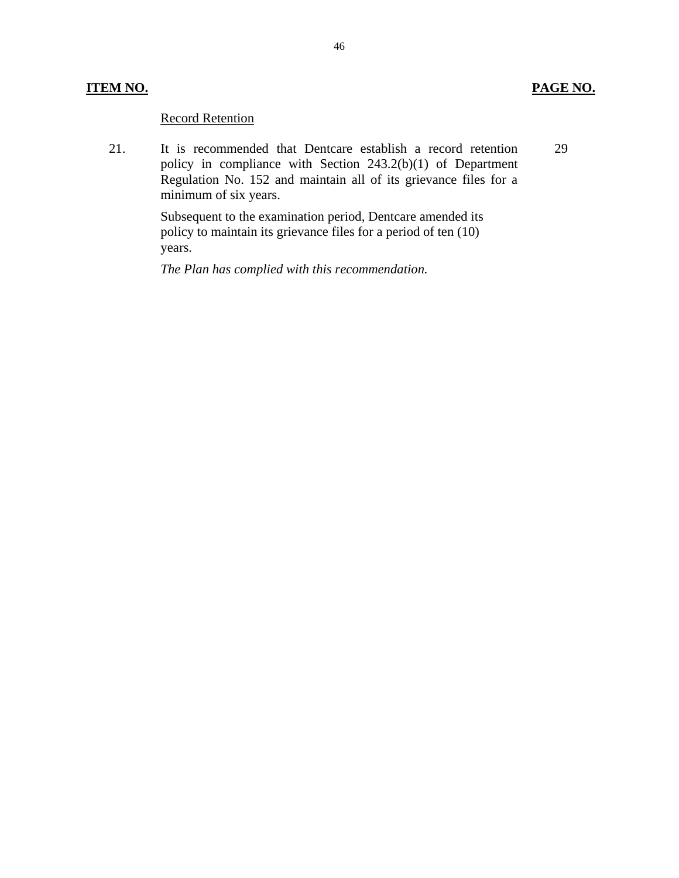### **ITEM NO. PAGE NO.**

29

### Record Retention

21. It is recommended that Dentcare establish a record retention policy in compliance with Section 243.2(b)(1) of Department Regulation No. 152 and maintain all of its grievance files for a minimum of six years.

> Subsequent to the examination period, Dentcare amended its policy to maintain its grievance files for a period of ten (10) years.

*The Plan has complied with this recommendation.*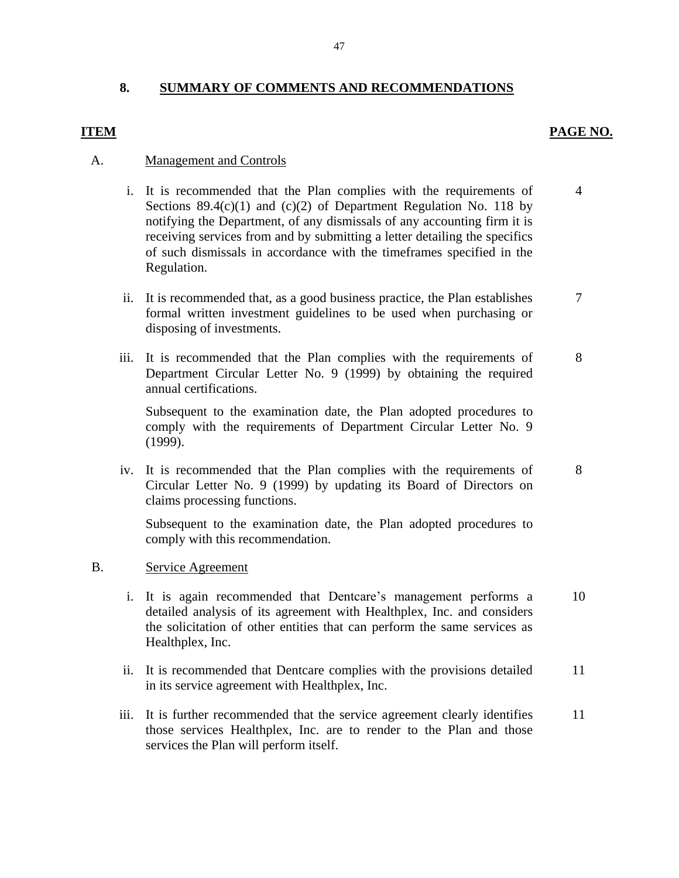### **8. SUMMARY OF COMMENTS AND RECOMMENDATIONS**

### **ITEM PAGE NO.**

4

7

8

### A. Management and Controls

- Sections  $89.4(c)(1)$  and  $(c)(2)$  of Department Regulation No. 118 by notifying the Department, of any dismissals of any accounting firm it is receiving services from and by submitting a letter detailing the specifics i. It is recommended that the Plan complies with the requirements of of such dismissals in accordance with the timeframes specified in the Regulation.
- ii. It is recommended that, as a good business practice, the Plan establishes formal written investment guidelines to be used when purchasing or disposing of investments.
- Department Circular Letter No. 9 (1999) by obtaining the required iii. It is recommended that the Plan complies with the requirements of annual certifications. 8

 Subsequent to the examination date, the Plan adopted procedures to comply with the requirements of Department Circular Letter No. 9 (1999).

iv. It is recommended that the Plan complies with the requirements of Circular Letter No. 9 (1999) by updating its Board of Directors on claims processing functions.

 Subsequent to the examination date, the Plan adopted procedures to comply with this recommendation.

### B. Service Agreement

- i. It is again recommended that Dentcare's management performs a detailed analysis of its agreement with Healthplex, Inc. and considers the solicitation of other entities that can perform the same services as Healthplex, Inc. 10
- ii. It is recommended that Dentcare complies with the provisions detailed in its service agreement with Healthplex, Inc. 11
- iii. It is further recommended that the service agreement clearly identifies those services Healthplex, Inc. are to render to the Plan and those services the Plan will perform itself. 11

47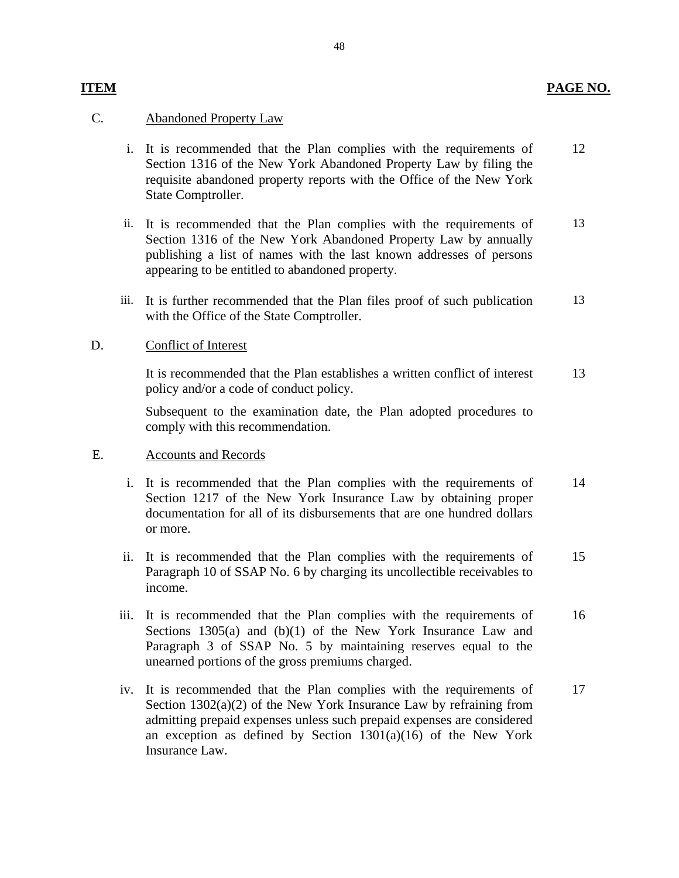### **ITEM PAGE NO.**

### C. Abandoned Property Law

- Section 1316 of the New York Abandoned Property Law by filing the requisite abandoned property reports with the Office of the New York i. It is recommended that the Plan complies with the requirements of State Comptroller. 12
- Section 1316 of the New York Abandoned Property Law by annually publishing a list of names with the last known addresses of persons ii. It is recommended that the Plan complies with the requirements of appearing to be entitled to abandoned property. 13
- iii. It is further recommended that the Plan files proof of such publication with the Office of the State Comptroller. 13

### D. Conflict of Interest

 It is recommended that the Plan establishes a written conflict of interest policy and/or a code of conduct policy. 13

 Subsequent to the examination date, the Plan adopted procedures to comply with this recommendation.

### E. Accounts and Records

- Section 1217 of the New York Insurance Law by obtaining proper documentation for all of its disbursements that are one hundred dollars i. It is recommended that the Plan complies with the requirements of or more. 14
- ii. It is recommended that the Plan complies with the requirements of Paragraph 10 of SSAP No. 6 by charging its uncollectible receivables to income. 15
- Sections 1305(a) and (b)(1) of the New York Insurance Law and Paragraph 3 of SSAP No. 5 by maintaining reserves equal to the iii. It is recommended that the Plan complies with the requirements of unearned portions of the gross premiums charged. 16
- an exception as defined by Section 1301(a)(16) of the New York iv. It is recommended that the Plan complies with the requirements of Section  $1302(a)(2)$  of the New York Insurance Law by refraining from admitting prepaid expenses unless such prepaid expenses are considered Insurance Law. 17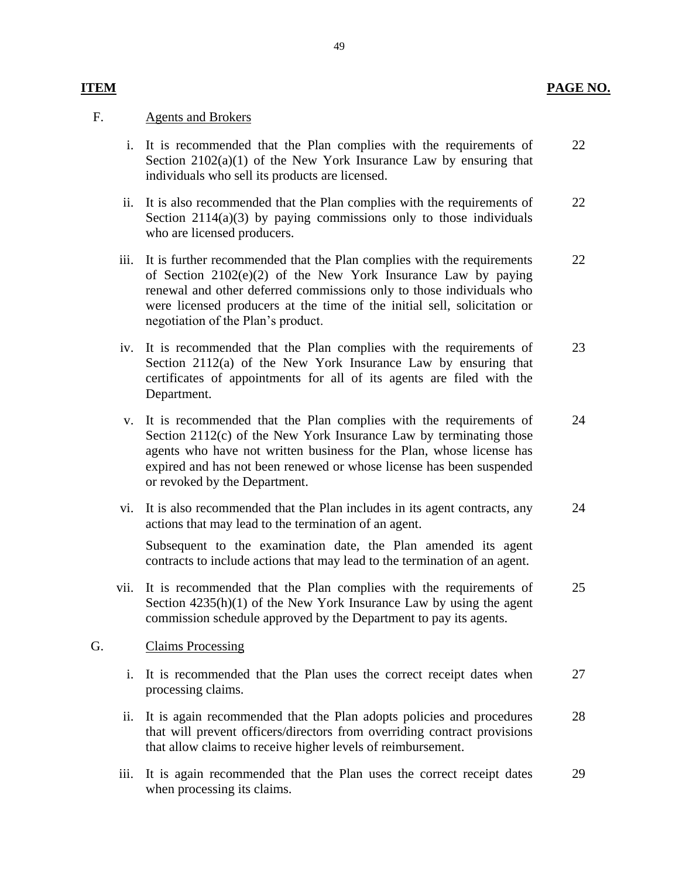### **PAGE NO.**

### F. Agents and Brokers

**ITEM** 

- Section 2102(a)(1) of the New York Insurance Law by ensuring that i. It is recommended that the Plan complies with the requirements of individuals who sell its products are licensed. 22
- ii. It is also recommended that the Plan complies with the requirements of Section 2114(a)(3) by paying commissions only to those individuals who are licensed producers. 22
- iii. It is further recommended that the Plan complies with the requirements of Section 2102(e)(2) of the New York Insurance Law by paying renewal and other deferred commissions only to those individuals who were licensed producers at the time of the initial sell, solicitation or negotiation of the Plan's product. 22
- Section 2112(a) of the New York Insurance Law by ensuring that certificates of appointments for all of its agents are filed with the iv. It is recommended that the Plan complies with the requirements of Department. 23
- Section 2112(c) of the New York Insurance Law by terminating those expired and has not been renewed or whose license has been suspended v. It is recommended that the Plan complies with the requirements of agents who have not written business for the Plan, whose license has or revoked by the Department. 24
- vi. It is also recommended that the Plan includes in its agent contracts, any actions that may lead to the termination of an agent. 24

Subsequent to the examination date, the Plan amended its agent contracts to include actions that may lead to the termination of an agent.

vii. It is recommended that the Plan complies with the requirements of Section 4235(h)(1) of the New York Insurance Law by using the agent commission schedule approved by the Department to pay its agents. 25

### G. Claims Processing

- i. It is recommended that the Plan uses the correct receipt dates when processing claims. 27
- ii. It is again recommended that the Plan adopts policies and procedures that will prevent officers/directors from overriding contract provisions that allow claims to receive higher levels of reimbursement. 28
- iii. It is again recommended that the Plan uses the correct receipt dates 29 when processing its claims.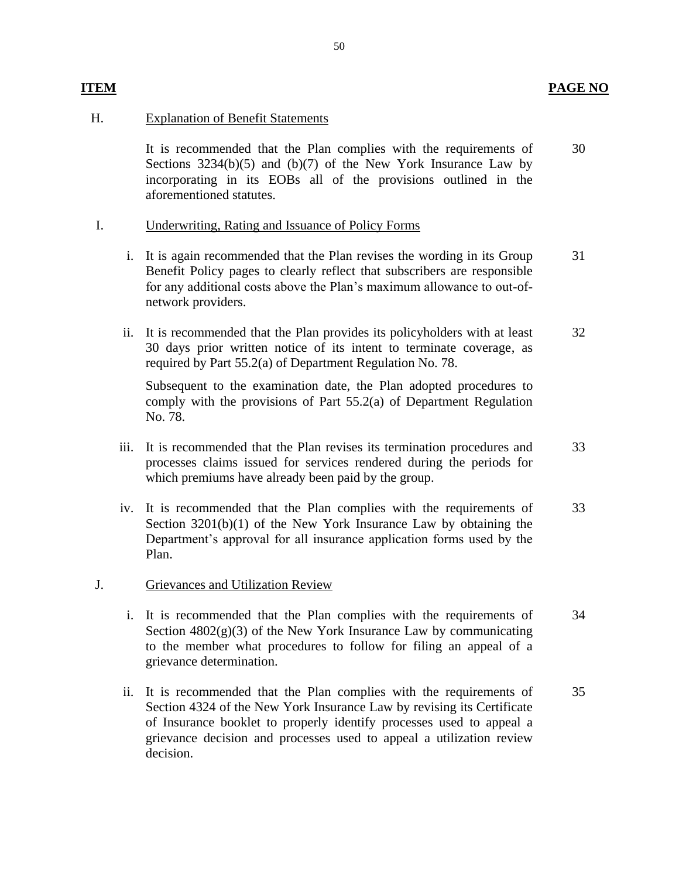### **ITEM PAGE NO**

### H. Explanation of Benefit Statements

 Sections 3234(b)(5) and (b)(7) of the New York Insurance Law by incorporating in its EOBs all of the provisions outlined in the It is recommended that the Plan complies with the requirements of aforementioned statutes. 30

### I. Underwriting, Rating and Issuance of Policy Forms

- for any additional costs above the Plan's maximum allowance to out-ofi. It is again recommended that the Plan revises the wording in its Group Benefit Policy pages to clearly reflect that subscribers are responsible network providers. 31
- 30 days prior written notice of its intent to terminate coverage, as ii. It is recommended that the Plan provides its policyholders with at least required by Part 55.2(a) of Department Regulation No. 78. 32

 Subsequent to the examination date, the Plan adopted procedures to comply with the provisions of Part 55.2(a) of Department Regulation No. 78.

- processes claims issued for services rendered during the periods for iii. It is recommended that the Plan revises its termination procedures and which premiums have already been paid by the group. 33
- Section 3201(b)(1) of the New York Insurance Law by obtaining the Department's approval for all insurance application forms used by the iv. It is recommended that the Plan complies with the requirements of Plan. 33

### J. Grievances and Utilization Review

- Section 4802(g)(3) of the New York Insurance Law by communicating to the member what procedures to follow for filing an appeal of a i. It is recommended that the Plan complies with the requirements of grievance determination. 34
- Section 4324 of the New York Insurance Law by revising its Certificate of Insurance booklet to properly identify processes used to appeal a grievance decision and processes used to appeal a utilization review ii. It is recommended that the Plan complies with the requirements of decision. 35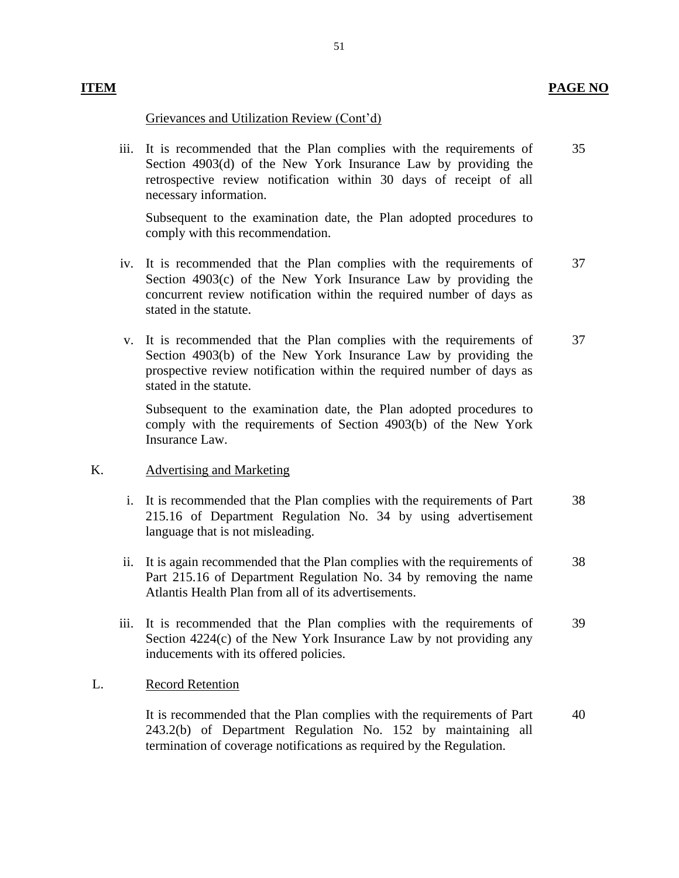### Grievances and Utilization Review (Cont'd)

 Section 4903(d) of the New York Insurance Law by providing the retrospective review notification within 30 days of receipt of all iii. It is recommended that the Plan complies with the requirements of necessary information. 35

 Subsequent to the examination date, the Plan adopted procedures to comply with this recommendation.

- Section 4903(c) of the New York Insurance Law by providing the concurrent review notification within the required number of days as iv. It is recommended that the Plan complies with the requirements of stated in the statute. 37
- Section 4903(b) of the New York Insurance Law by providing the prospective review notification within the required number of days as v. It is recommended that the Plan complies with the requirements of stated in the statute. 37

 Subsequent to the examination date, the Plan adopted procedures to comply with the requirements of Section 4903(b) of the New York Insurance Law.

### K. Advertising and Marketing

- i. It is recommended that the Plan complies with the requirements of Part 215.16 of Department Regulation No. 34 by using advertisement language that is not misleading. 38
- Part 215.16 of Department Regulation No. 34 by removing the name ii. It is again recommended that the Plan complies with the requirements of Atlantis Health Plan from all of its advertisements. 38
- Section 4224(c) of the New York Insurance Law by not providing any iii. It is recommended that the Plan complies with the requirements of inducements with its offered policies. 39

### L. Record Retention

 It is recommended that the Plan complies with the requirements of Part 243.2(b) of Department Regulation No. 152 by maintaining all termination of coverage notifications as required by the Regulation. 40

### 51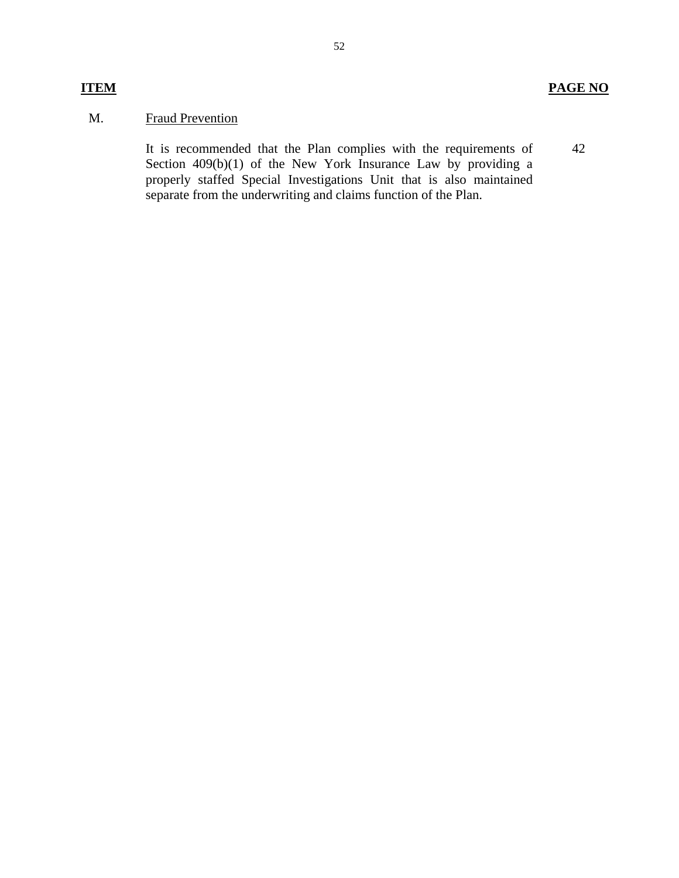42

### M. Fraud Prevention

Section 409(b)(1) of the New York Insurance Law by providing a It is recommended that the Plan complies with the requirements of properly staffed Special Investigations Unit that is also maintained separate from the underwriting and claims function of the Plan.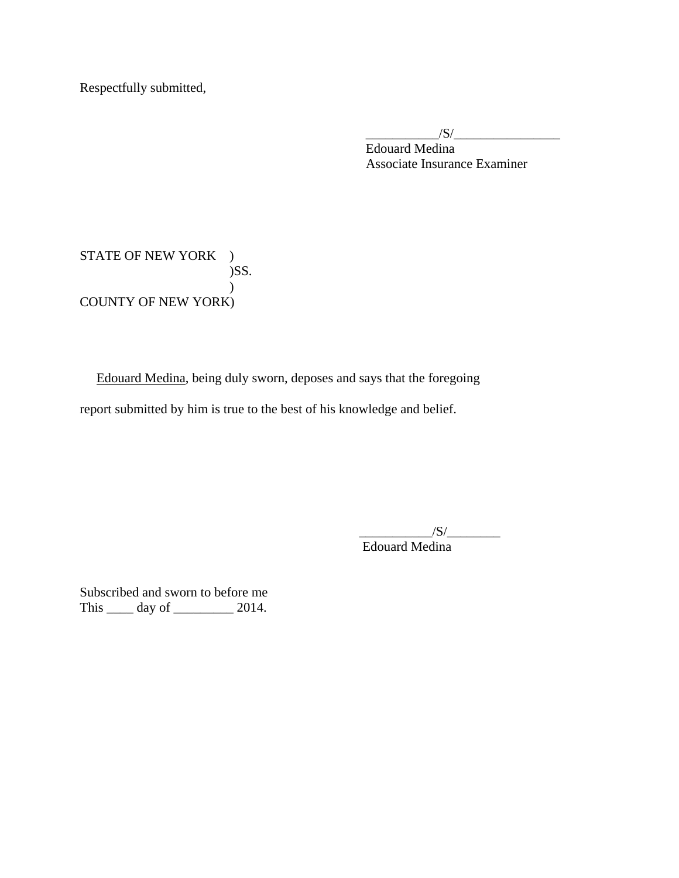Respectfully submitted,

 $\frac{|S|}{|S|}$ Edouard Medina Associate Insurance Examiner

STATE OF NEW YORK ) )SS. ) COUNTY OF NEW YORK)

Edouard Medina, being duly sworn, deposes and says that the foregoing report submitted by him is true to the best of his knowledge and belief.

> $\frac{1}{\sqrt{S}}$ Edouard Medina

Subscribed and sworn to before me This \_\_\_\_\_\_ day of \_\_\_\_\_\_\_\_\_\_\_ 2014.